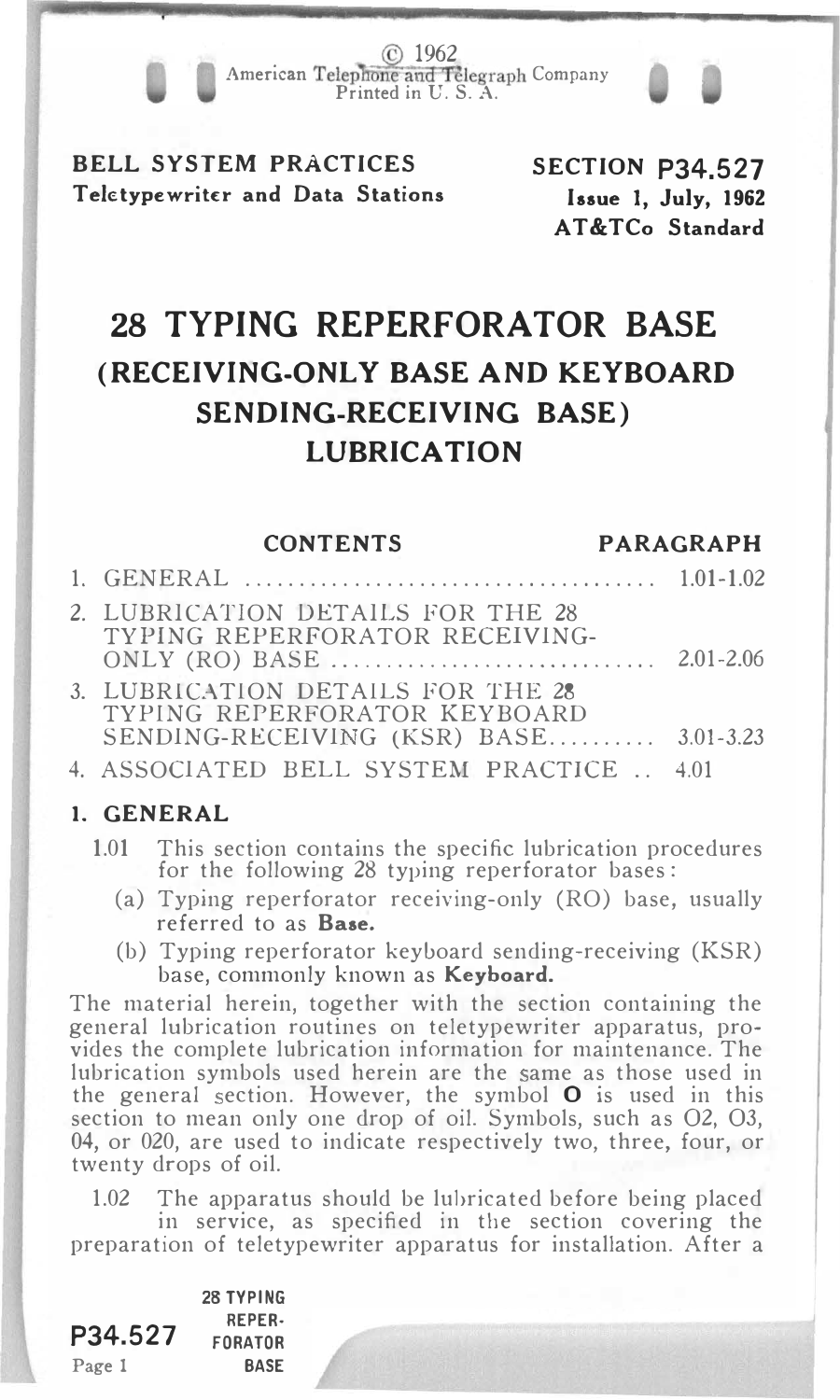. © <sup>1962</sup> American Telephone and Telegraph Company<br>Printed in U.S. A.

BELL SYSTEM PRACTICES Teletypewriter and Data Stations SECTION P34.527 Issue I, July, 1962 AT&TCo Standard

# 28 TYPING REPERFORATOR BASE (RECEIVING-ONLY BASE AND KEYBOARD SENDING-RECEIVING BASE) LUBRICATION

CONTENTS PARAGRAPH

| 2. LUBRICATION DETAILS FOR THE 28<br>TYPING REPERFORATOR RECEIVING-                                         |  |
|-------------------------------------------------------------------------------------------------------------|--|
| 3. LUBRICATION DETAILS FOR THE 28<br>TYPING REPERFORATOR KEYBOARD<br>SENDING-RECEIVING (KSR) BASE 3.01-3.23 |  |
| 4. ASSOCIATED BELL SYSTEM PRACTICE  4.01                                                                    |  |

#### 1. GENERAL

- 1.01 This section contains the specific lubrication procedures for the following 28 typing reperforator bases:
	- (a) Typing reperforator receiving-only (RO) base, usually referred to as Base.
	- (b) Typing reperforator keyboard sending-receiving (KSR) base, commonly known as Keyboard.

The material herein, together with the section containing the general lubrication routines on teletypewriter apparatus, provides the complete lubrication information for maintenance. The lubrication symbols used herein are the same as those used in the general section. However, the symbol  $O$  is used in this section to mean only one drop of oil. Symbols, such as 02, 03, 04, or 020, are used to indicate respectively two, three, four, or twenty drops of oil.

1.02 The apparatus should be lubricated before being placed in service, as specified in the section covering the preparation of teletypewriter apparatus for installation. After a

P34.527 Page 1 28 TYPING REPER· FORA TOR **BASE**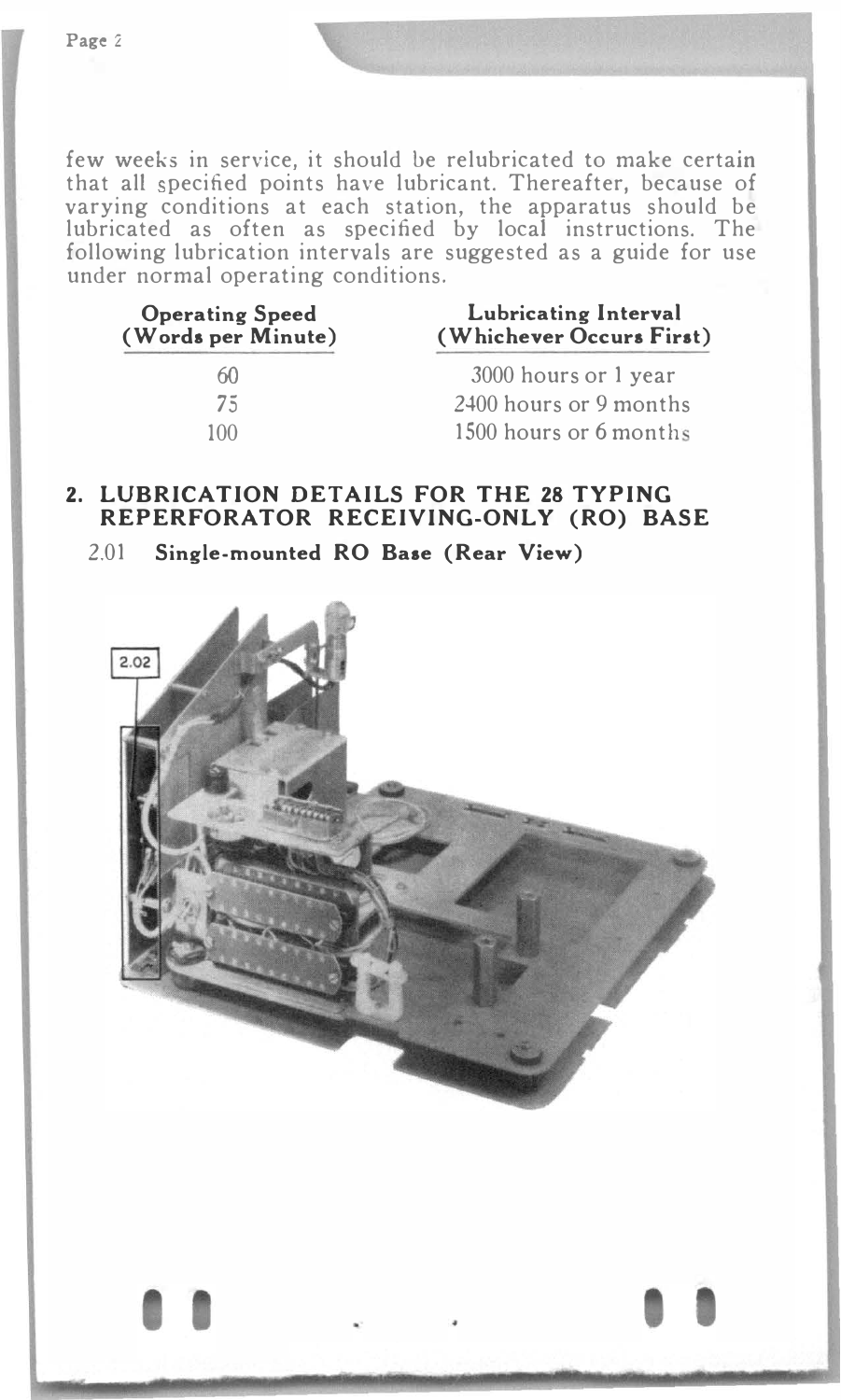few weeks in service, it should be relubricated to make certain that all specified points have lubricant. Thereafter, because of varying conditions at each station, the apparatus should be lubricated as often as specified by local instructions. The following lubrication intervals are suggested as a guide for use under normal operating conditions.

| <b>Operating Speed</b><br>(Words per Minute) | Lubricating Interval<br>(Whichever Occurs First) |  |
|----------------------------------------------|--------------------------------------------------|--|
| 60)                                          | 3000 hours or 1 year                             |  |
| 75                                           | 2400 hours or 9 months                           |  |
| 100                                          | 1500 hours or 6 months                           |  |

#### 2. LUBRICATION DETAILS FOR THE 28 TYPING REPERFORATOR RECEIVING-ONLY (RO) BASE

2.01 Single-mounted RO Baae (Rear View)

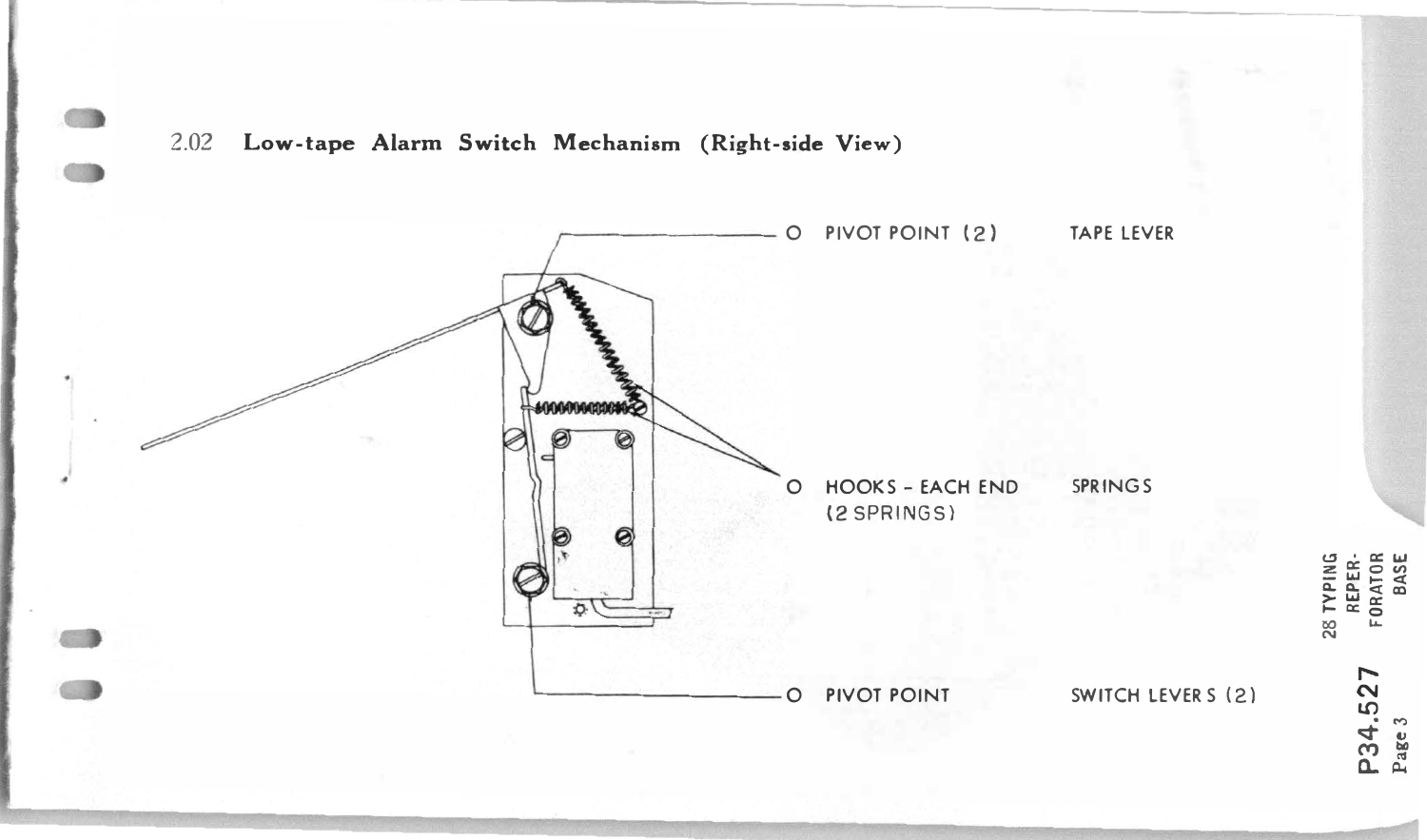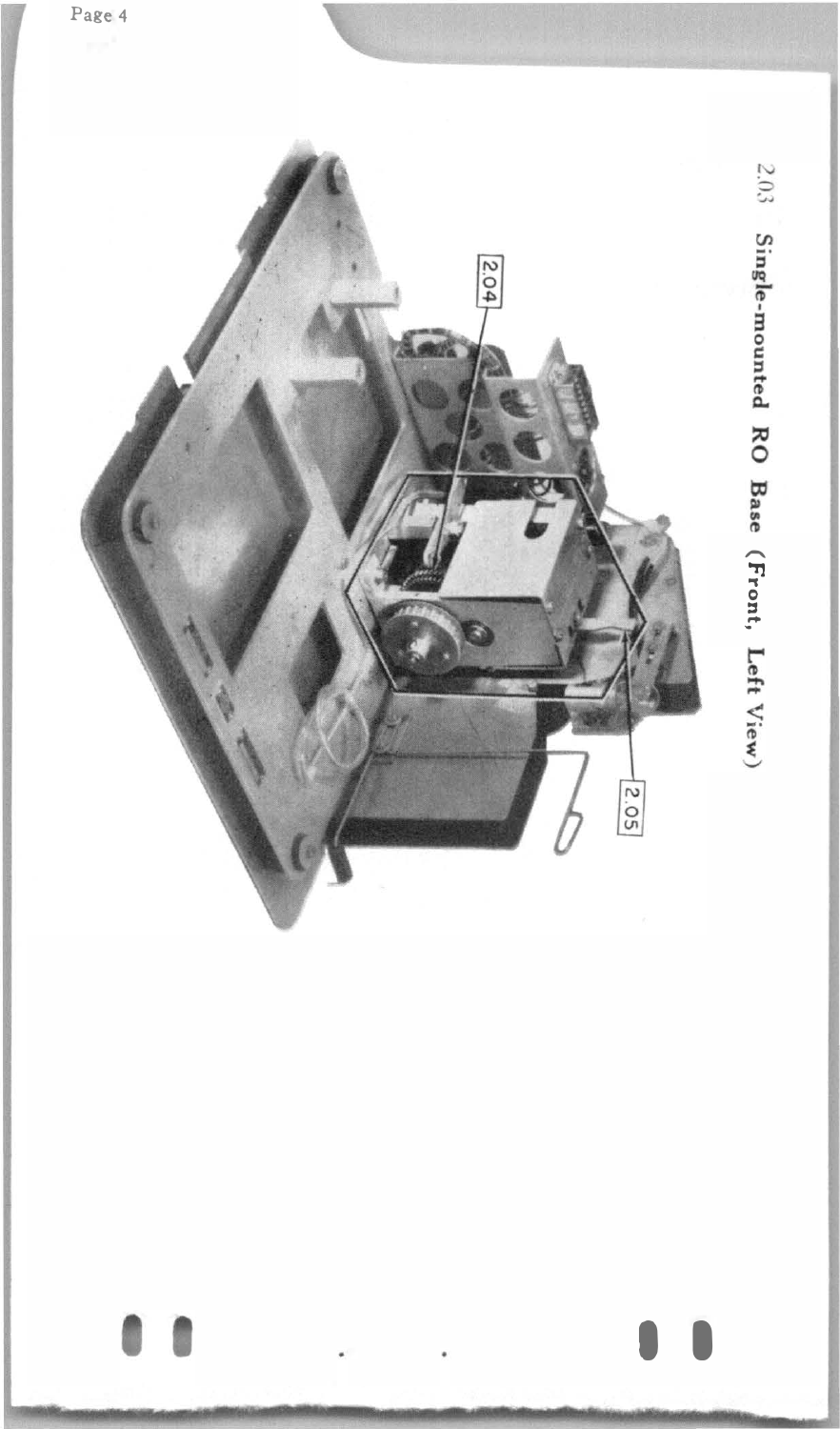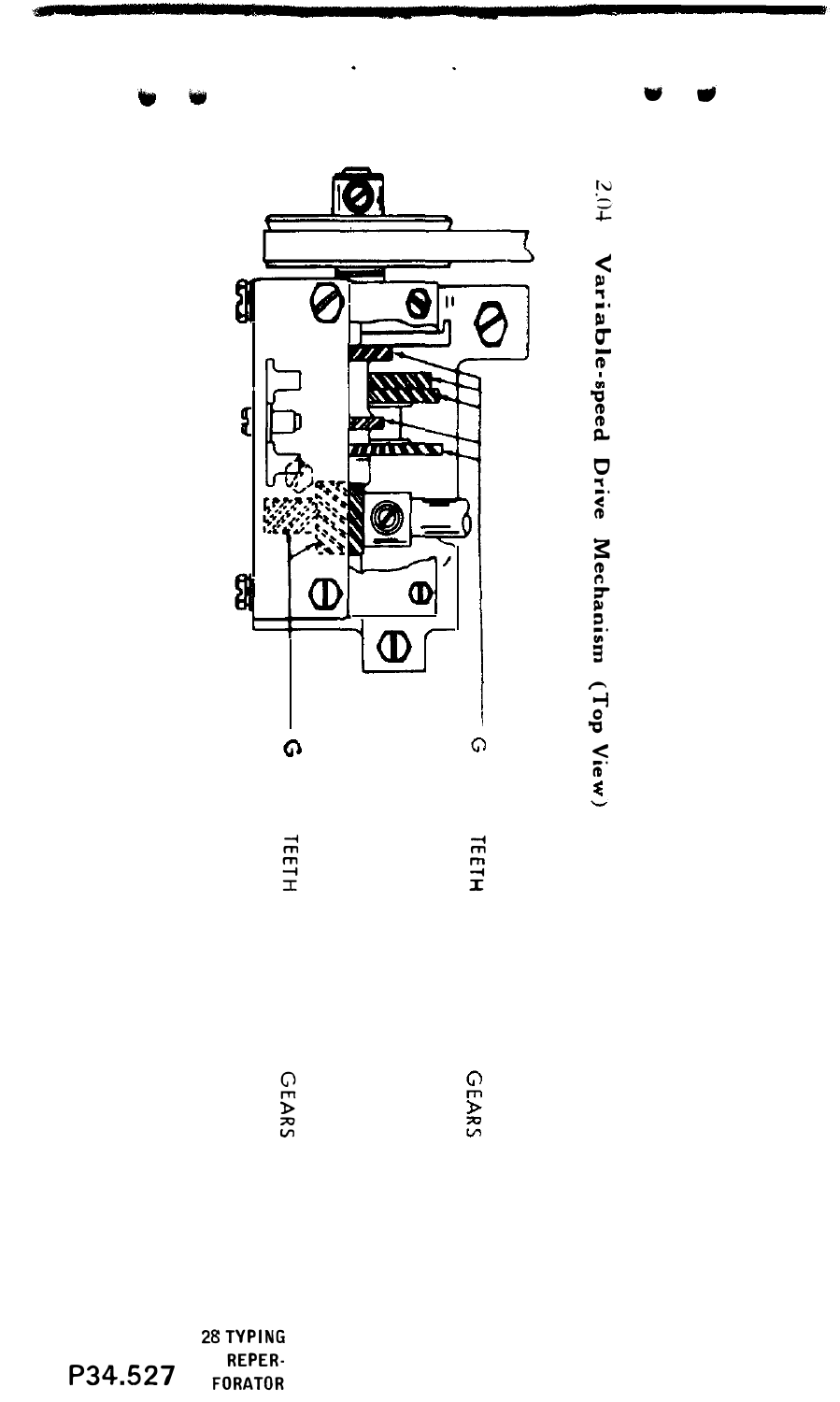

2.04 Variable-speed Drive Mechanism (Top View)

28 TYPING REPER-P34.527 **FORATOR**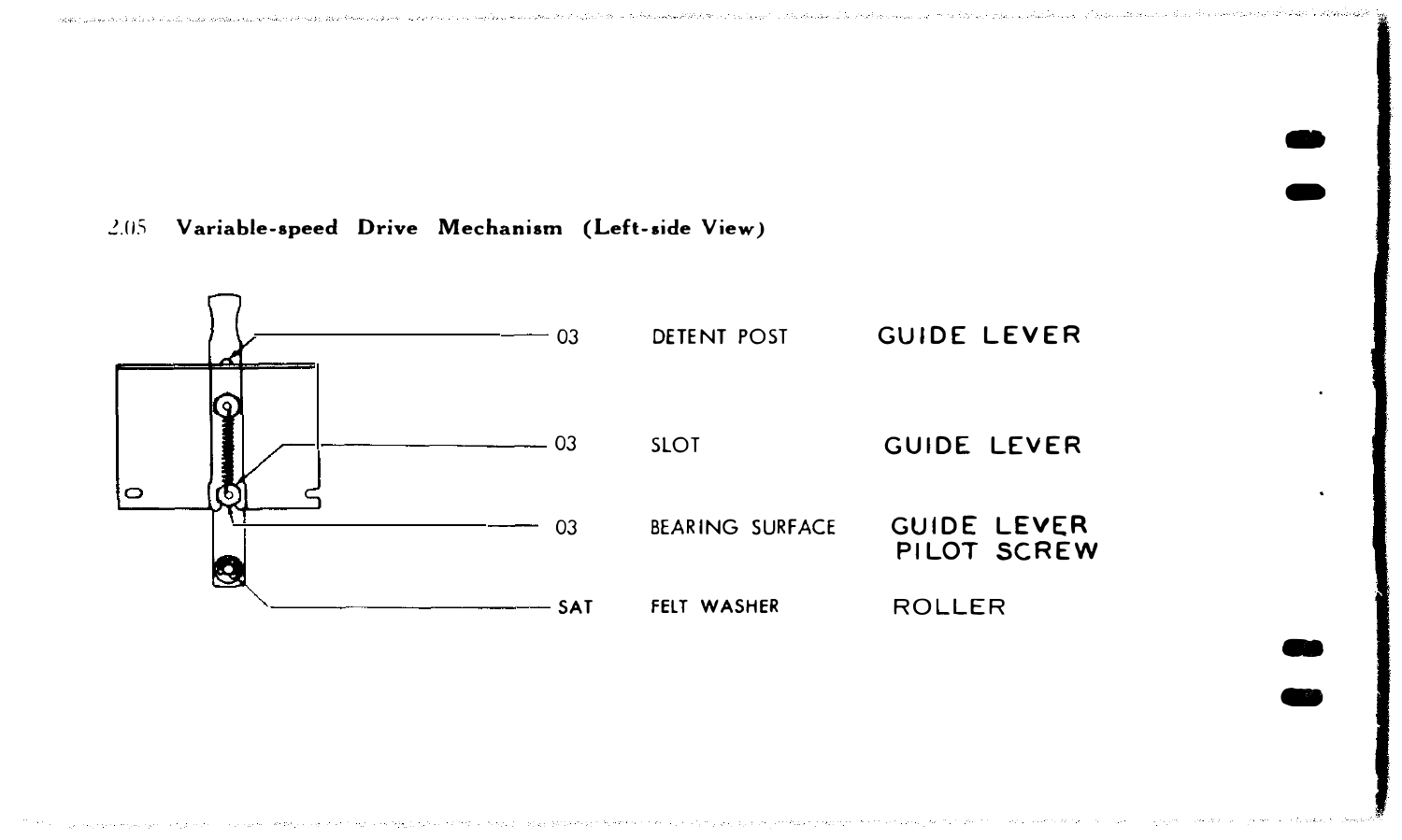- -

- -

#### 2.0S Variable-speed Drive Mechanism (Left-side View)

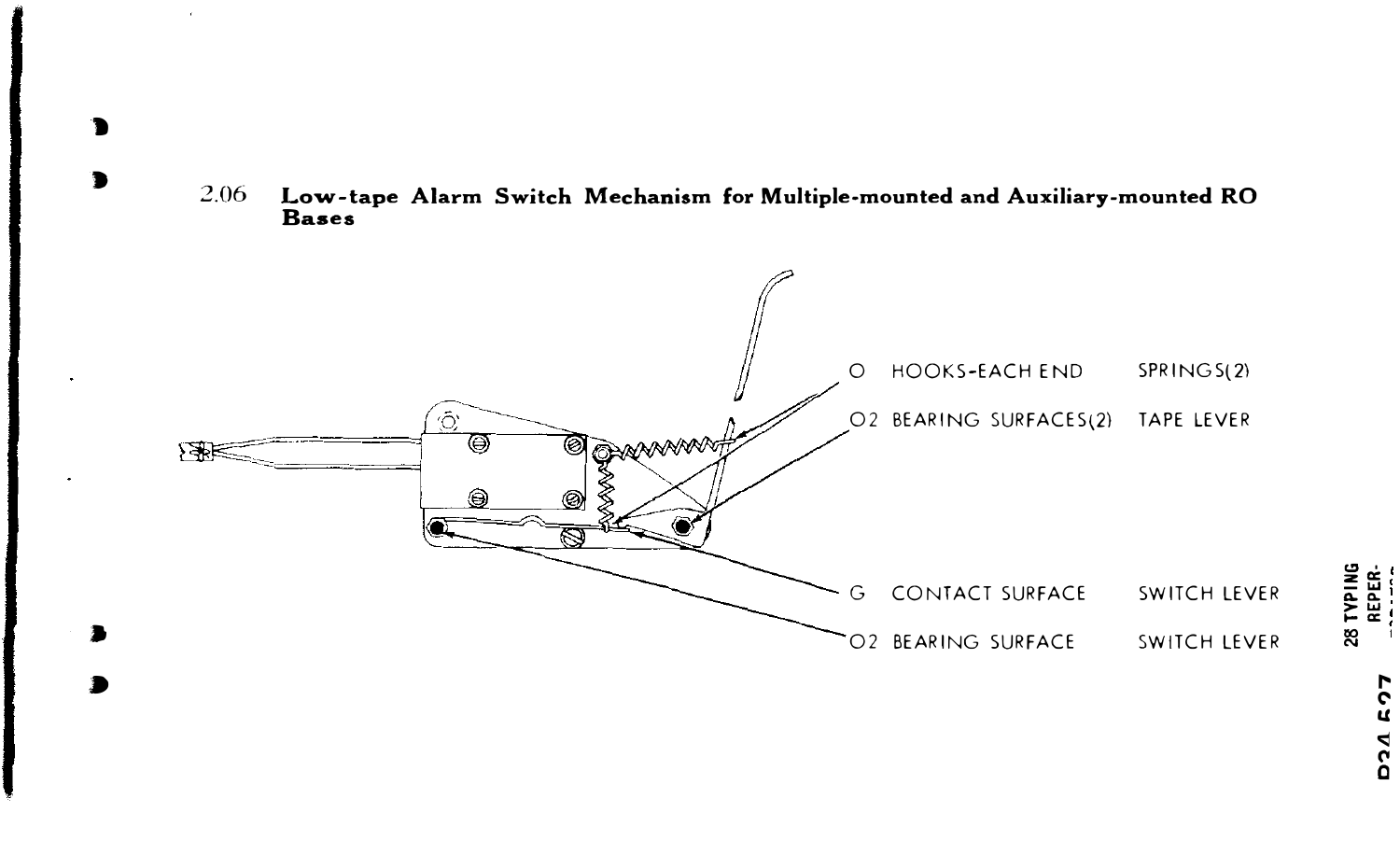

'n

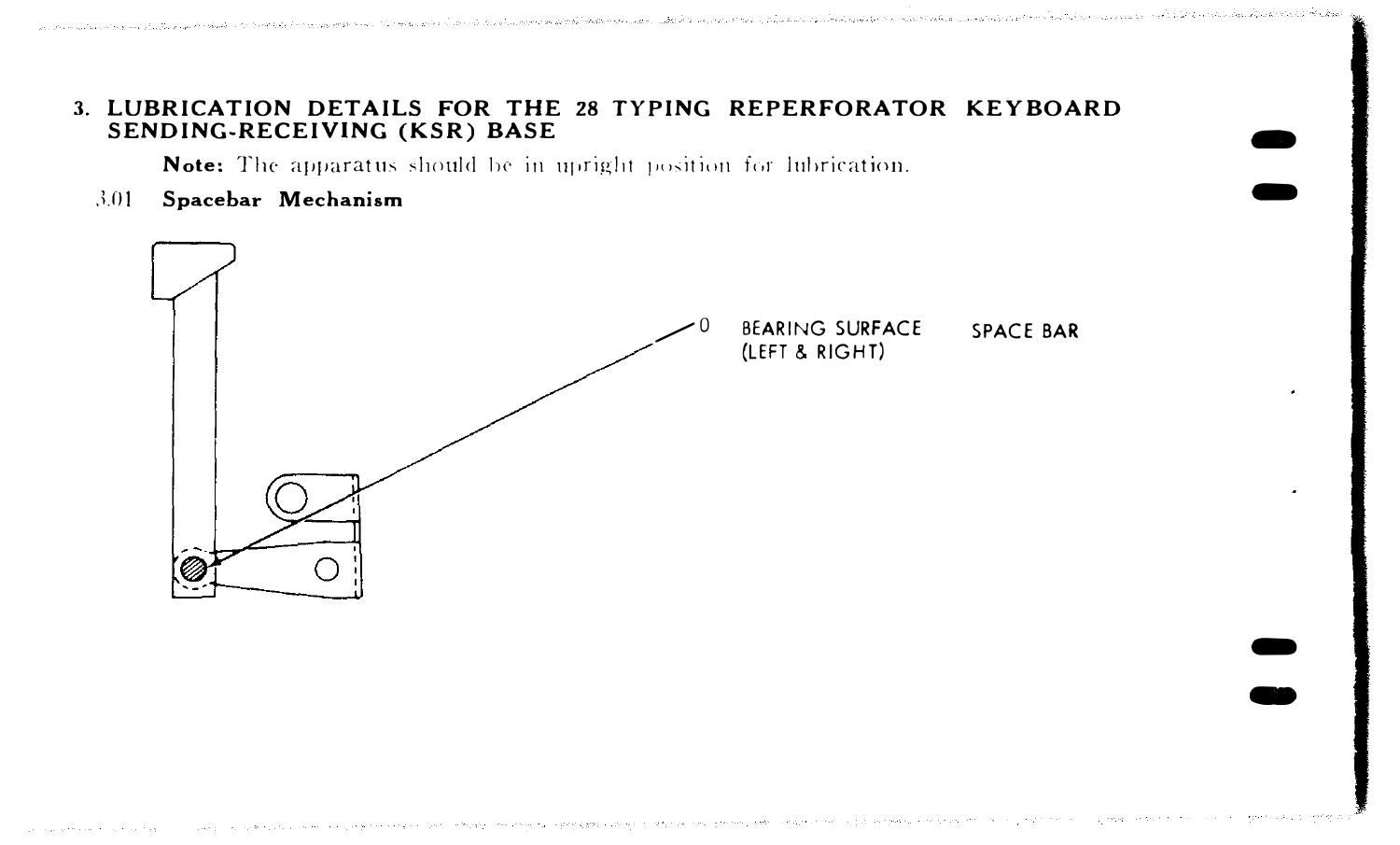#### 3. LUBRICATION DETAILS FOR THE 28 TYPING REPERFORATOR KEYBOARD SENDING-RECEIVING (KSR) BASE

Note: The apparatus should be in upright position for lubrication.

Spacebar Mechanism  $301$ 

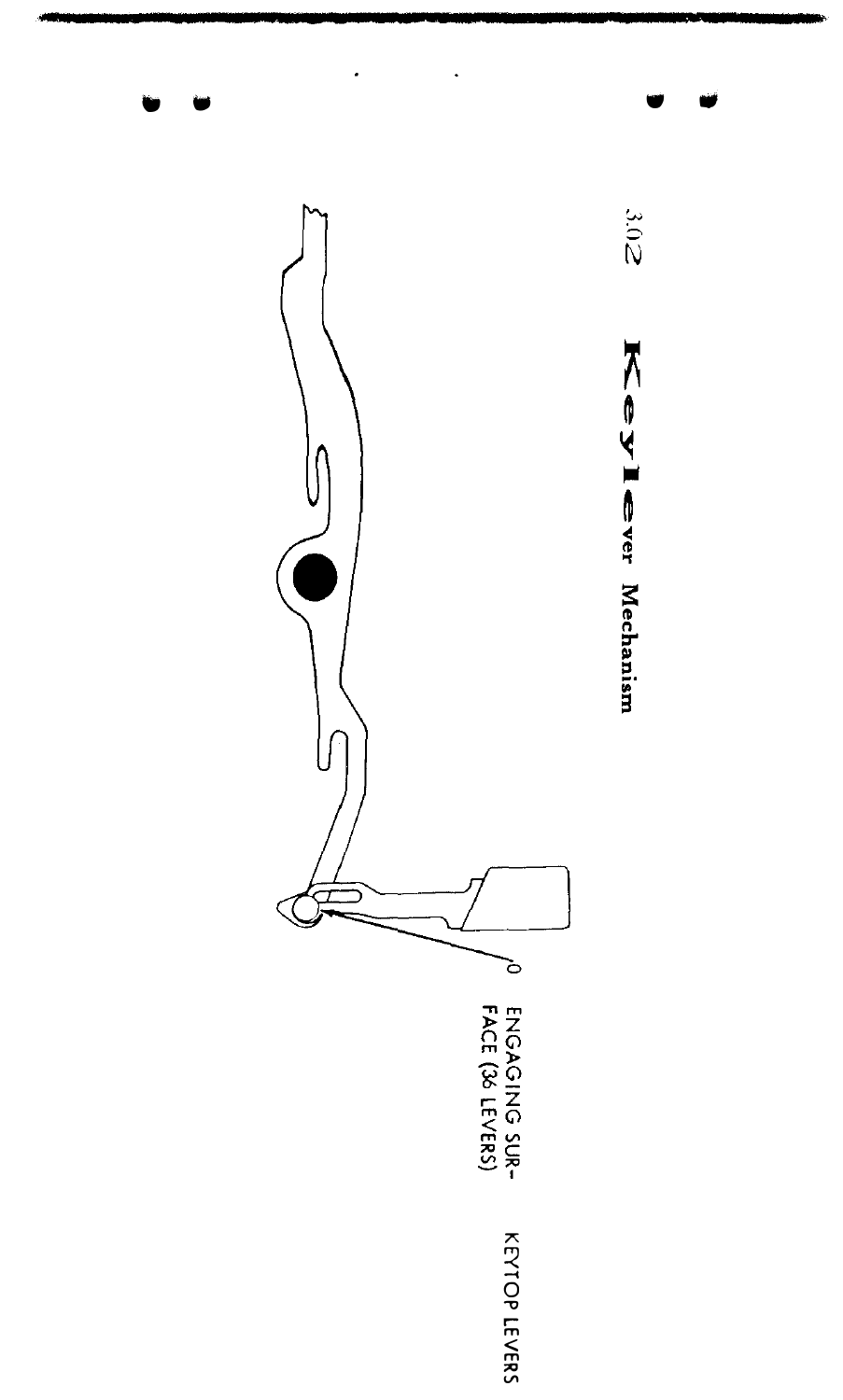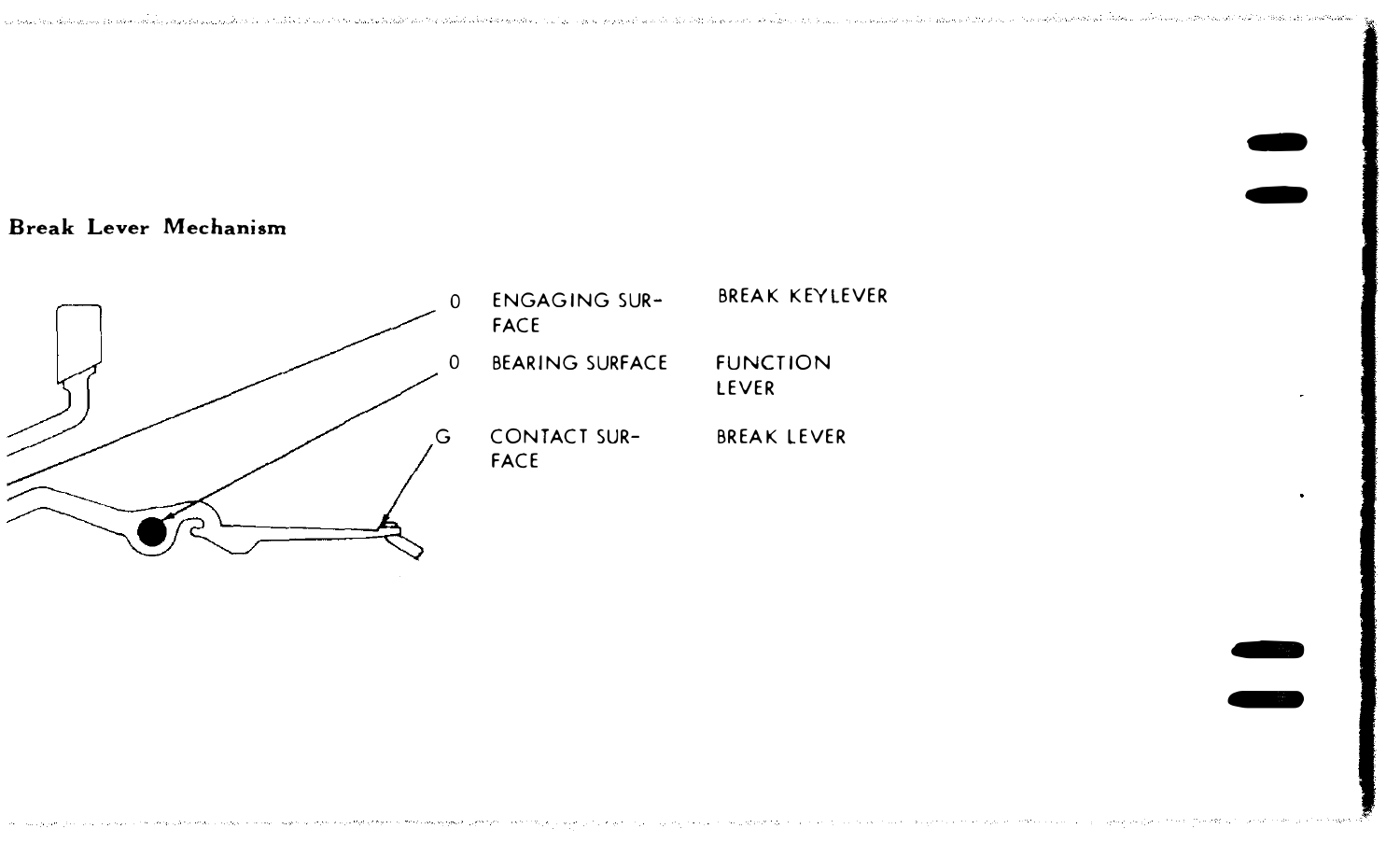recombing the selection of the constant of the constant of the contract of the constant of the constant of the constant of the selection of the constant of the constant of the constant of the constant of the constant of th

 $\bullet$  $\bullet$ 

� ...

#### Break Lever Mechanism

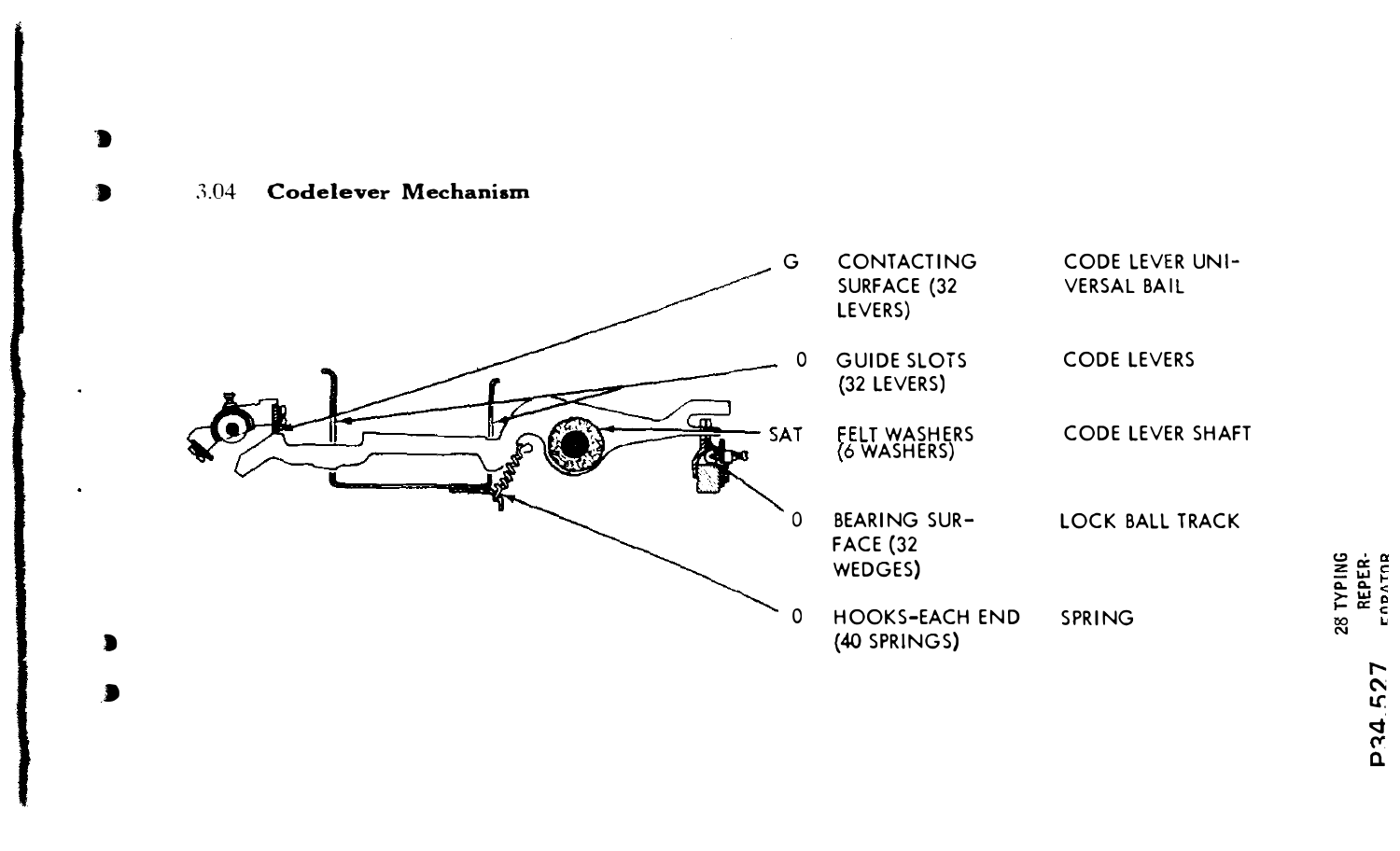#### 3.04 Codelever Mechanism

 $\bullet$ 

ъ

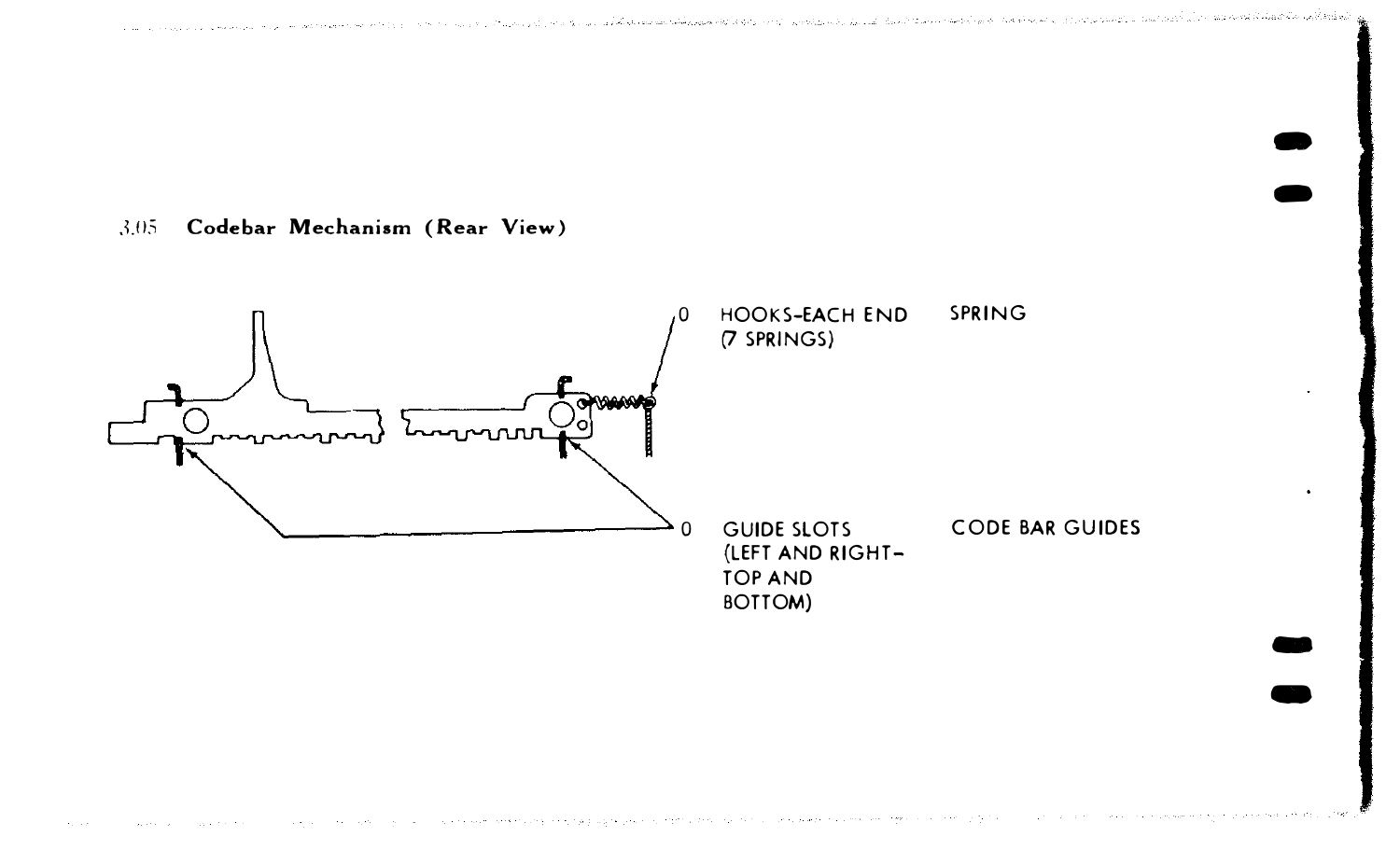$3.05$ Codebar Mechanism (Rear View)

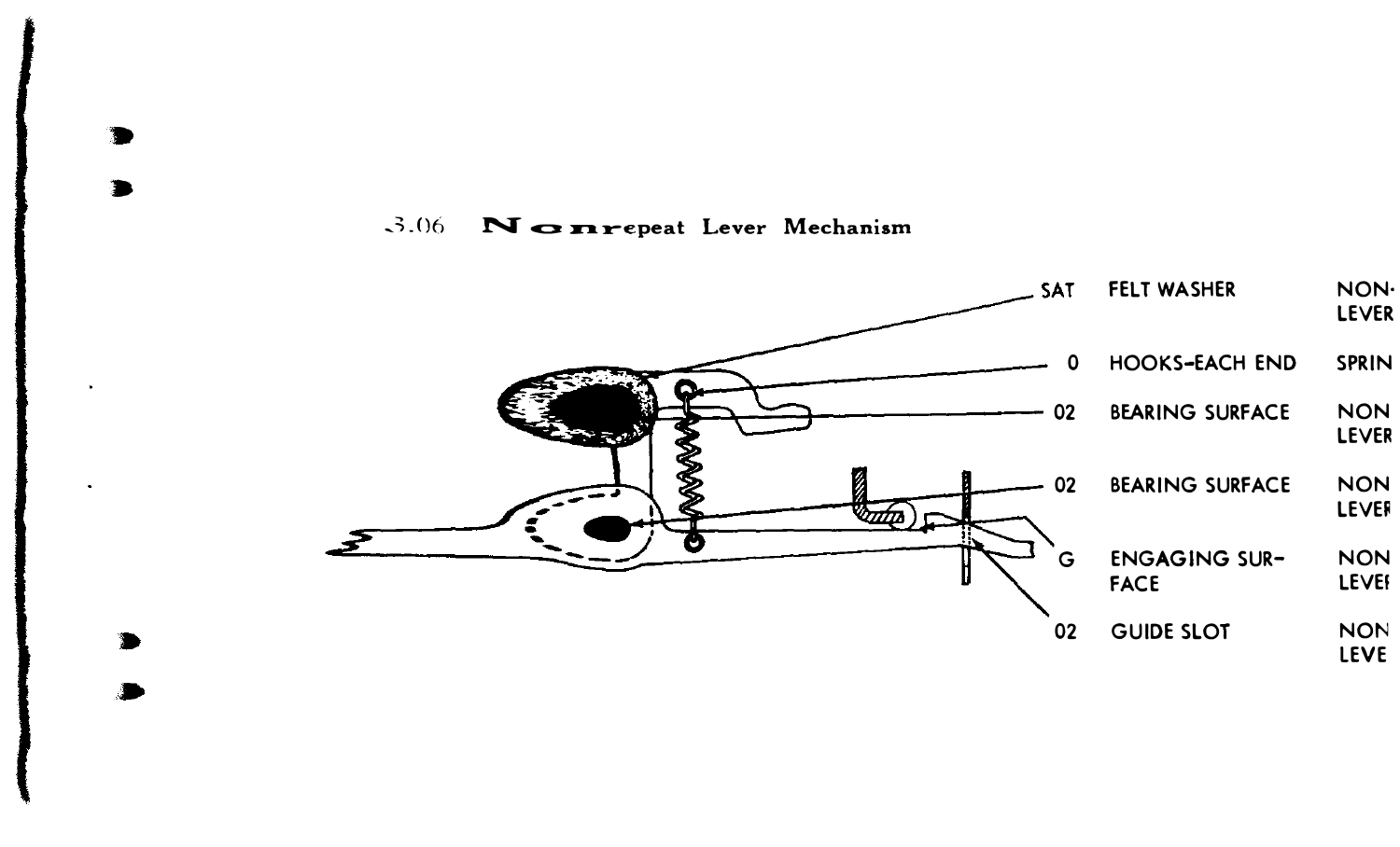#### $-3.06$ Nonrepeat Lever Mechanism

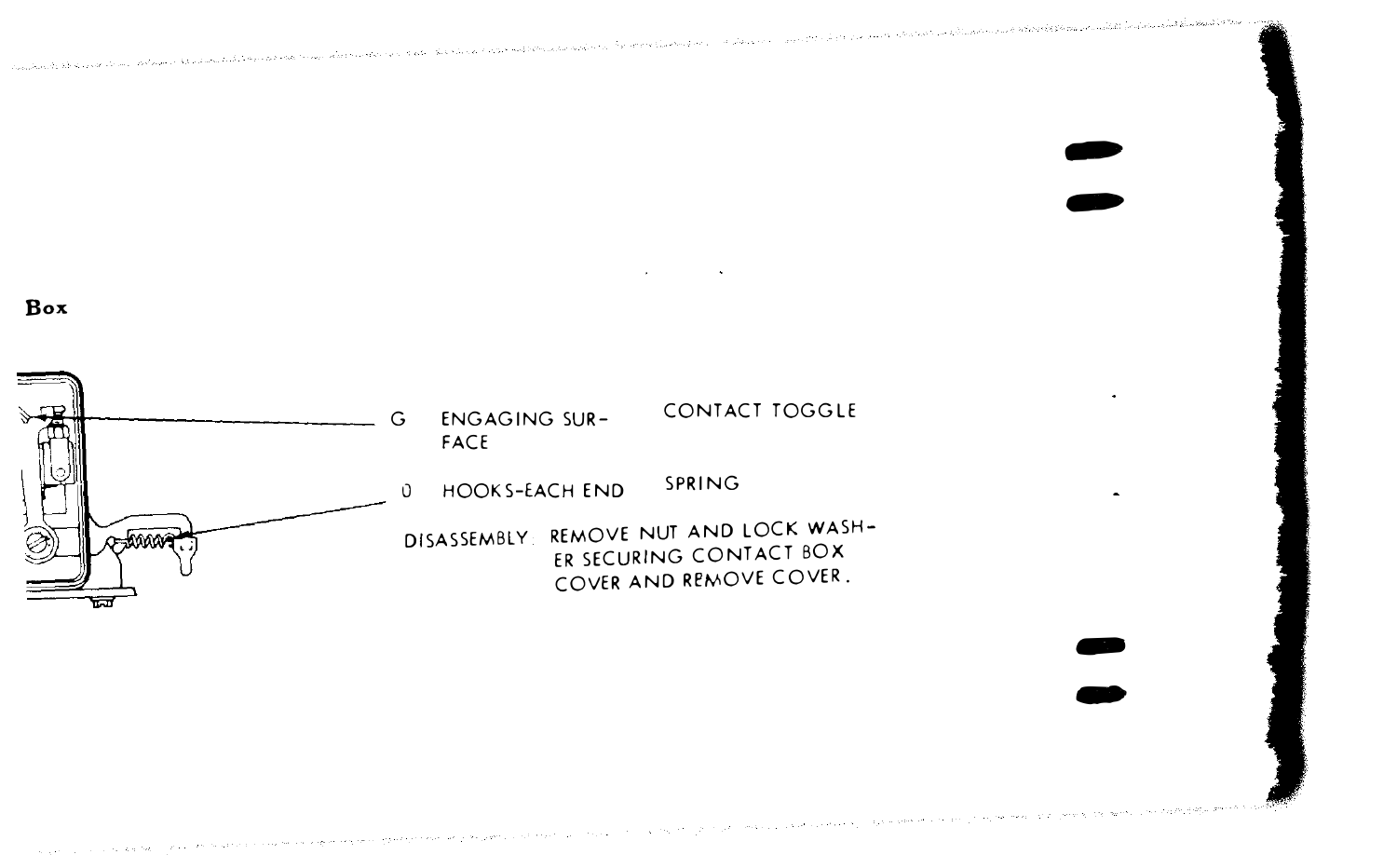ക്കർമ്പോയ് കാഴ്ചകൻക്കെക്ക് അന്തായ സാധാനത്തിന്റെ സ്ക്രീക്ഷ് ക്രിക്കുകയും പ്രത്യേക്കുക. പുകുറെ പ്രസ്ഥാന കാര്യത്തിന്റെ ക്രിക്ക്

Box



 $\bullet$ �

> ..  $\bullet$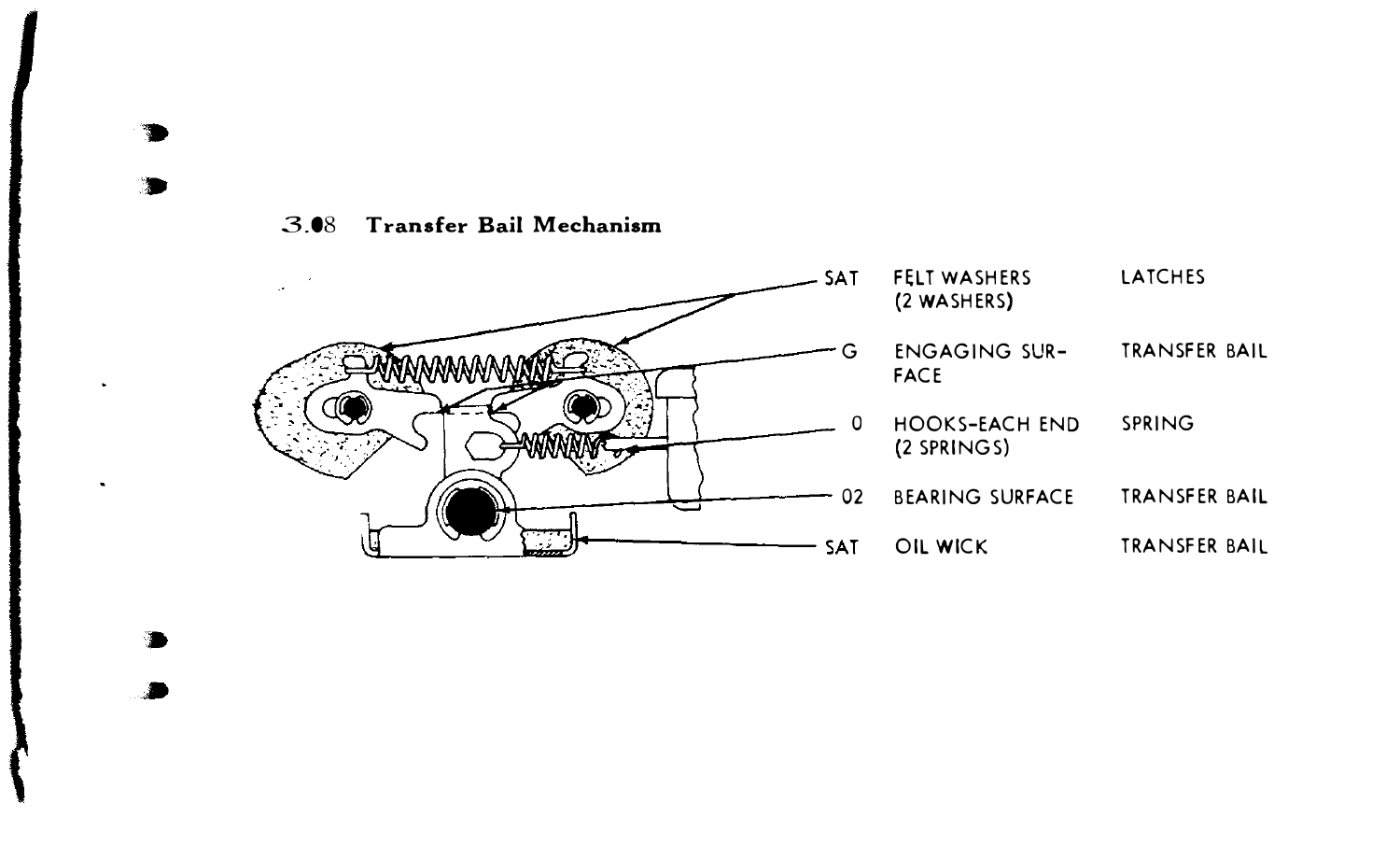3.08 Transfer Bail Mechanism



• •

• •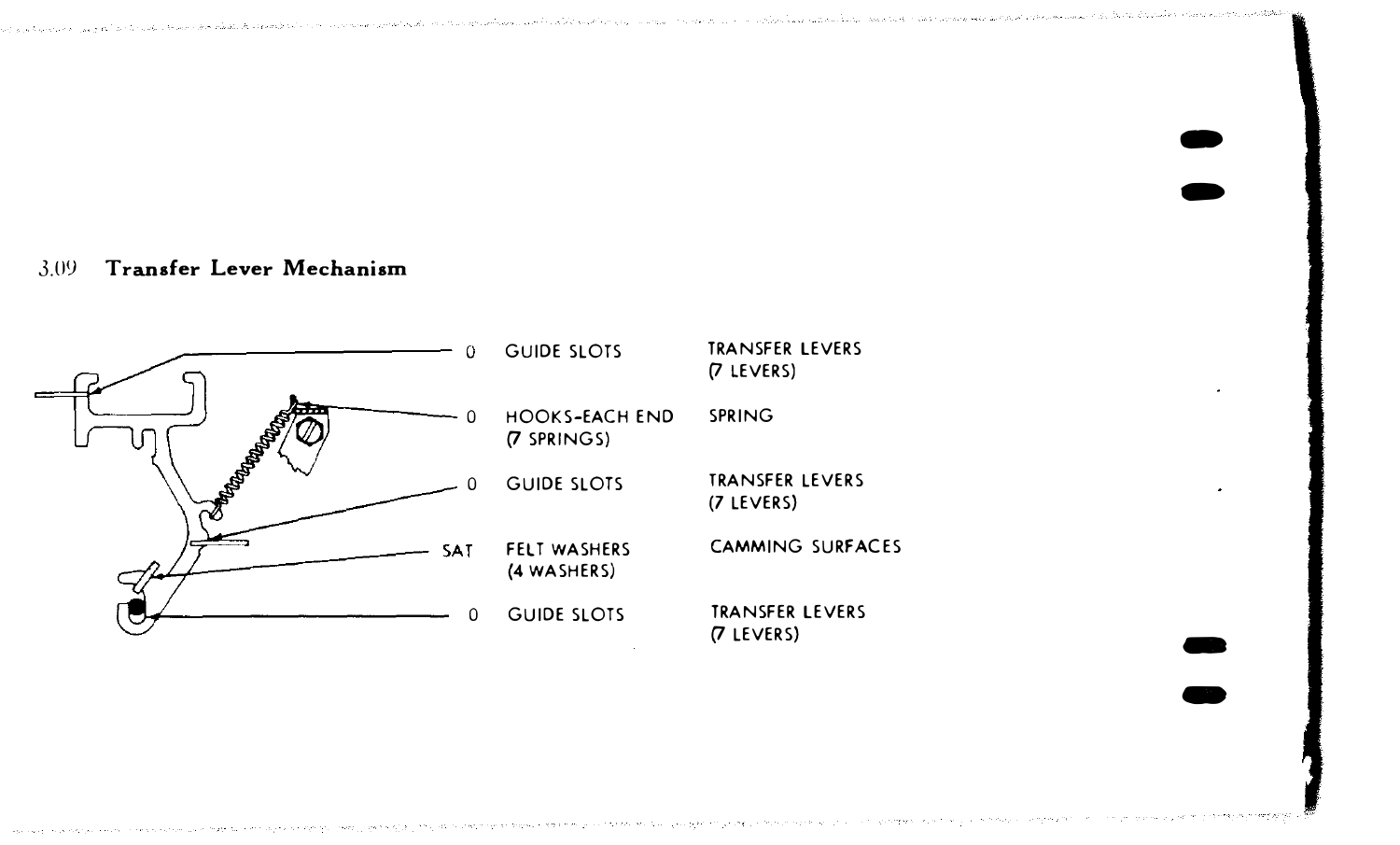فاقواهمت وحصائحهم والمستوقة وقوائيهم المستحجر واحتام ورحيد فهومون وعفراء والوامعة الرفط بالمروي ويروأ ويرتجى التامات التاريبات a para personal de la ciudad de la cada personal a comunidad de la comunidad de la comunidad de la ciudad de l

> $\bullet$  $\bullet$

 $\bullet$ 

#### 3.0'! Transfer Lever Mechanism

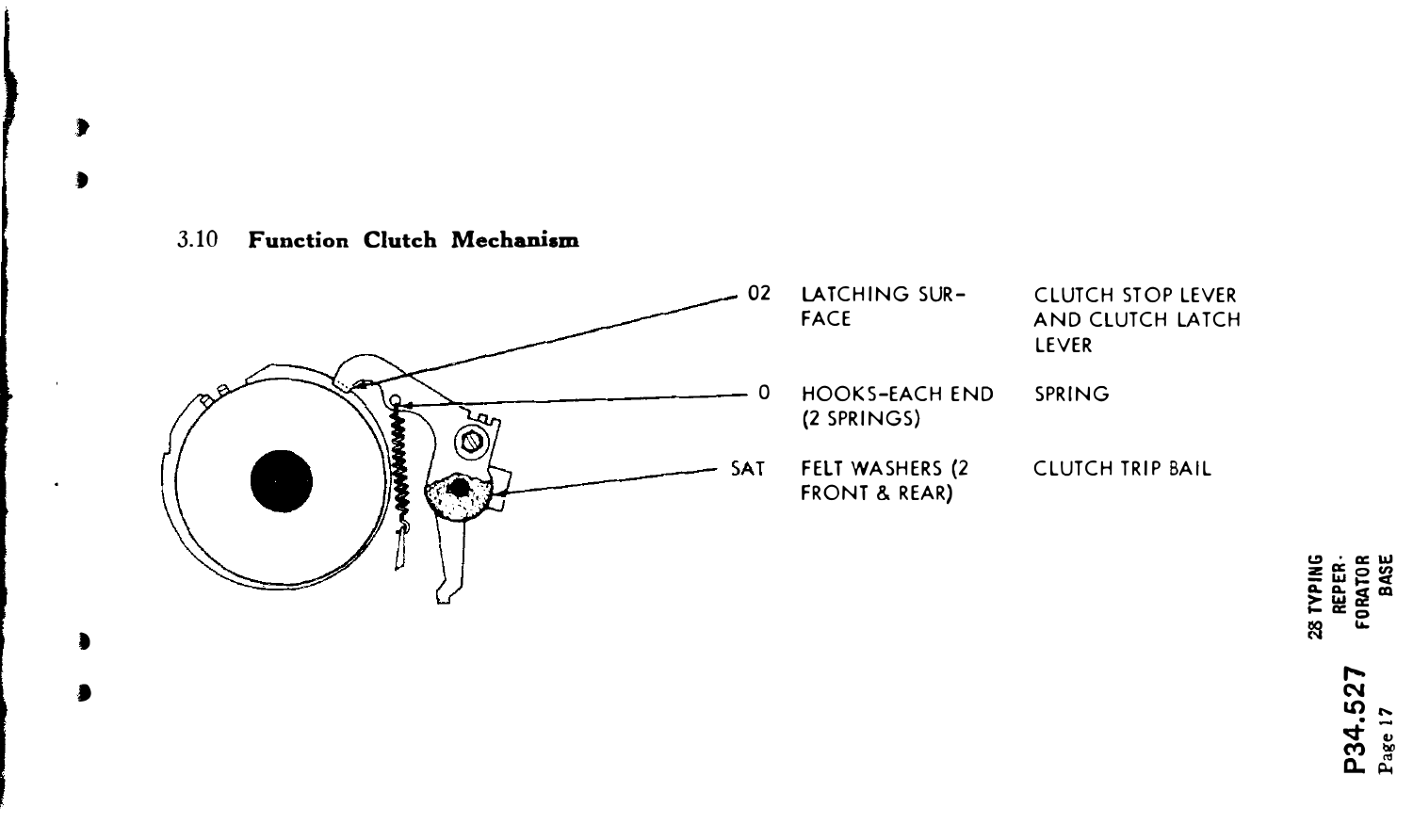#### 3.10 Function Clutch Mechanism

 $\overline{\phantom{a}}$ 

à



P34.527<br>Page 17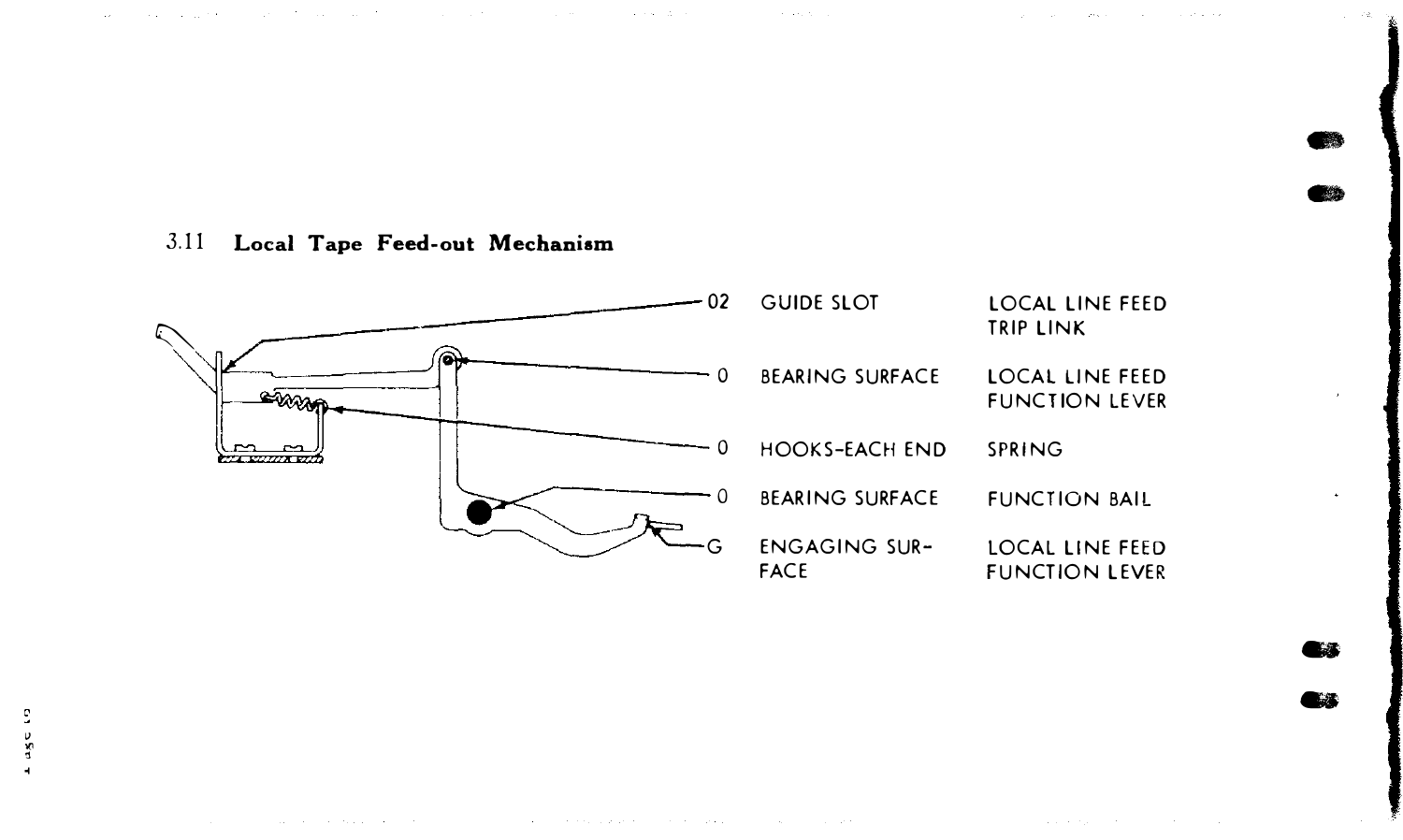$\sim$   $\sim$ 

C.SR.

### 3.11 Local Tape Feed-out Mechanism

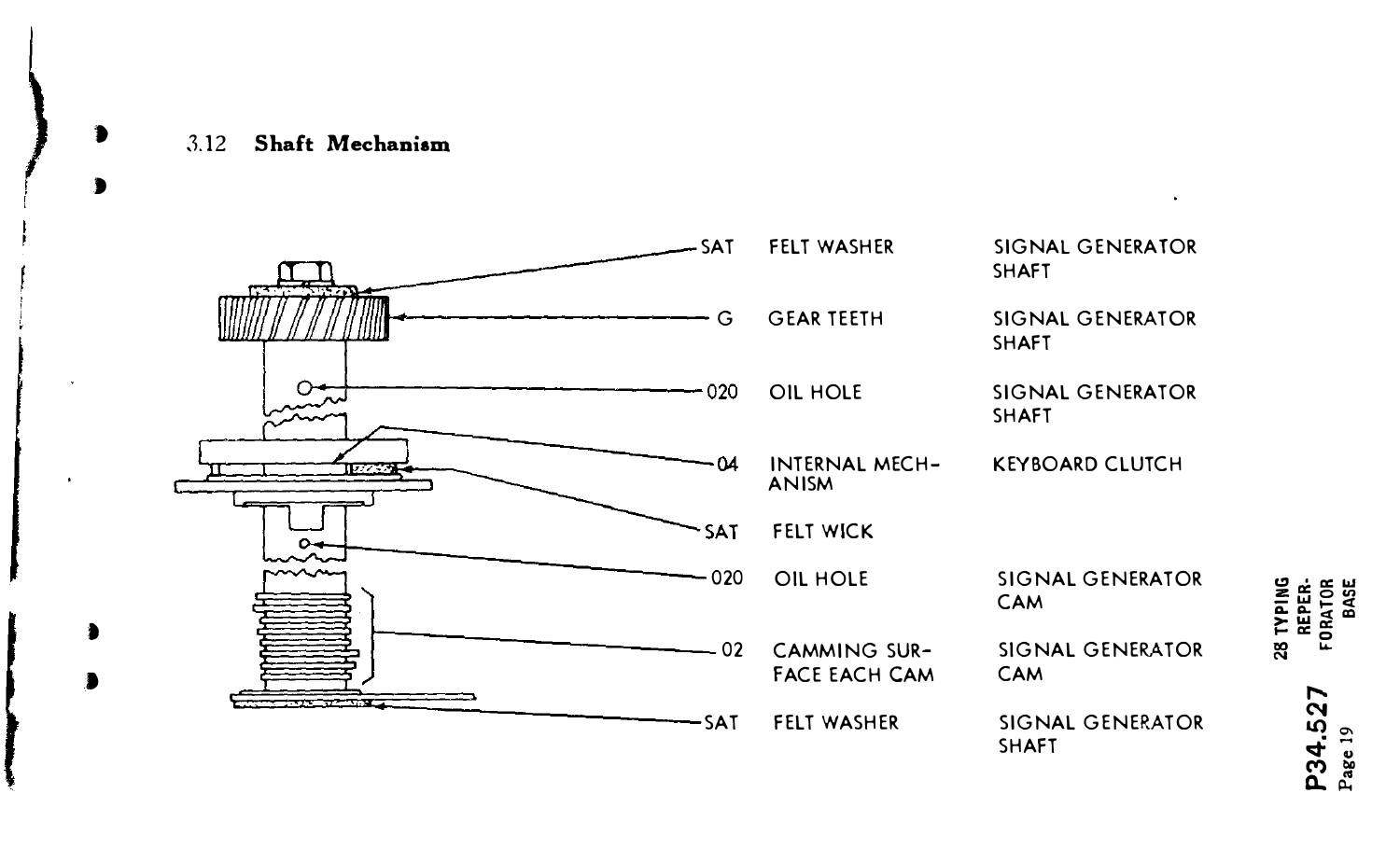#### 3.12 Shaft Mechanism

D

 $\bullet$ 



P34.527 Page 19

 $\ddot{\phantom{1}}$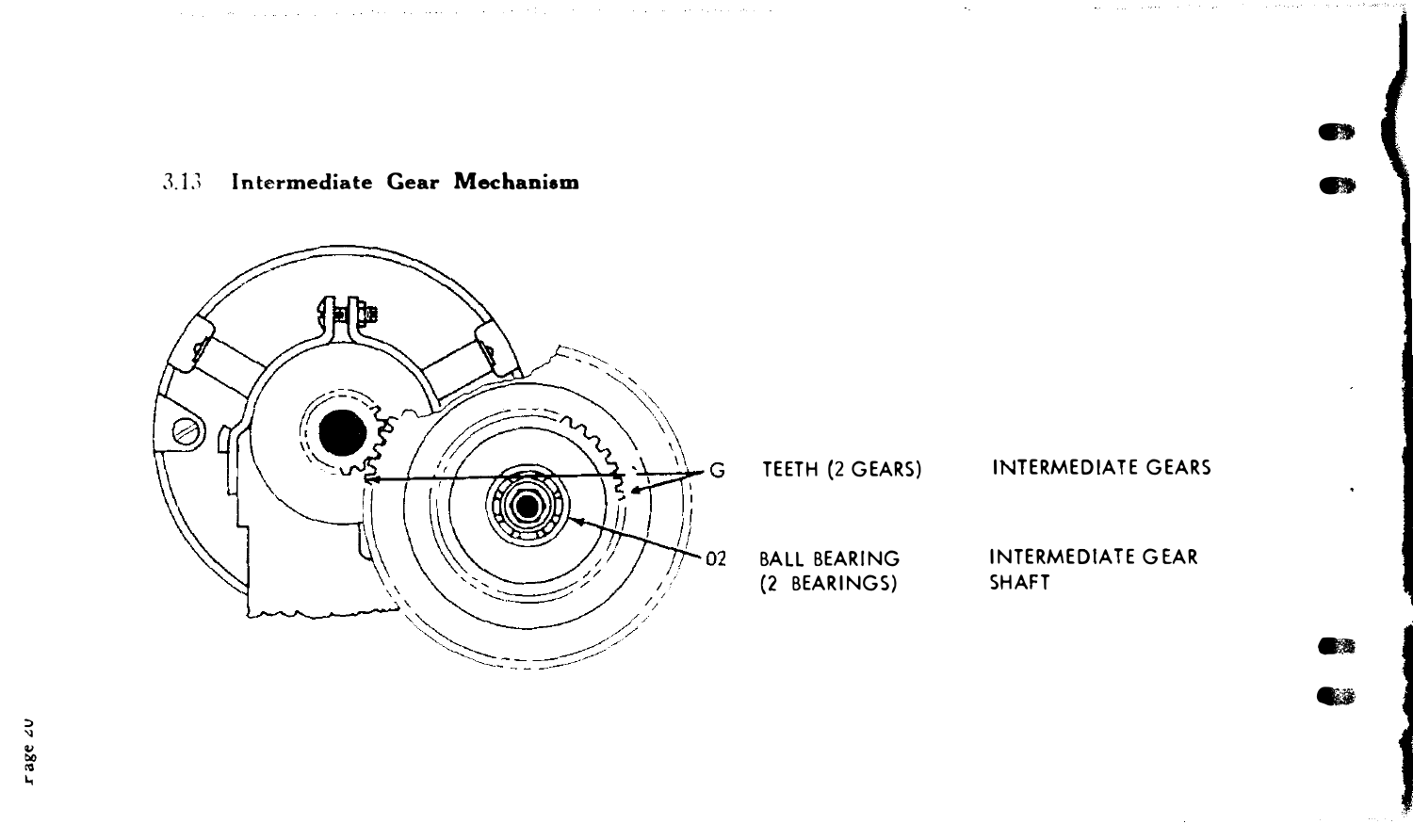### 3.13 Intermediate Gear Mechanism



المتابعة وجعلوه مدارها والمركان فالتاريخ وكالعرورية الترابطو المروانية ووالوالي والراوير والمراوي الساليان

TEETH (2 GEARS)

#### **INTERMEDIATE GEARS**

œ

 $\blacksquare$ 

電透 Q.

**INTERMEDIATE GEAR SHAFT**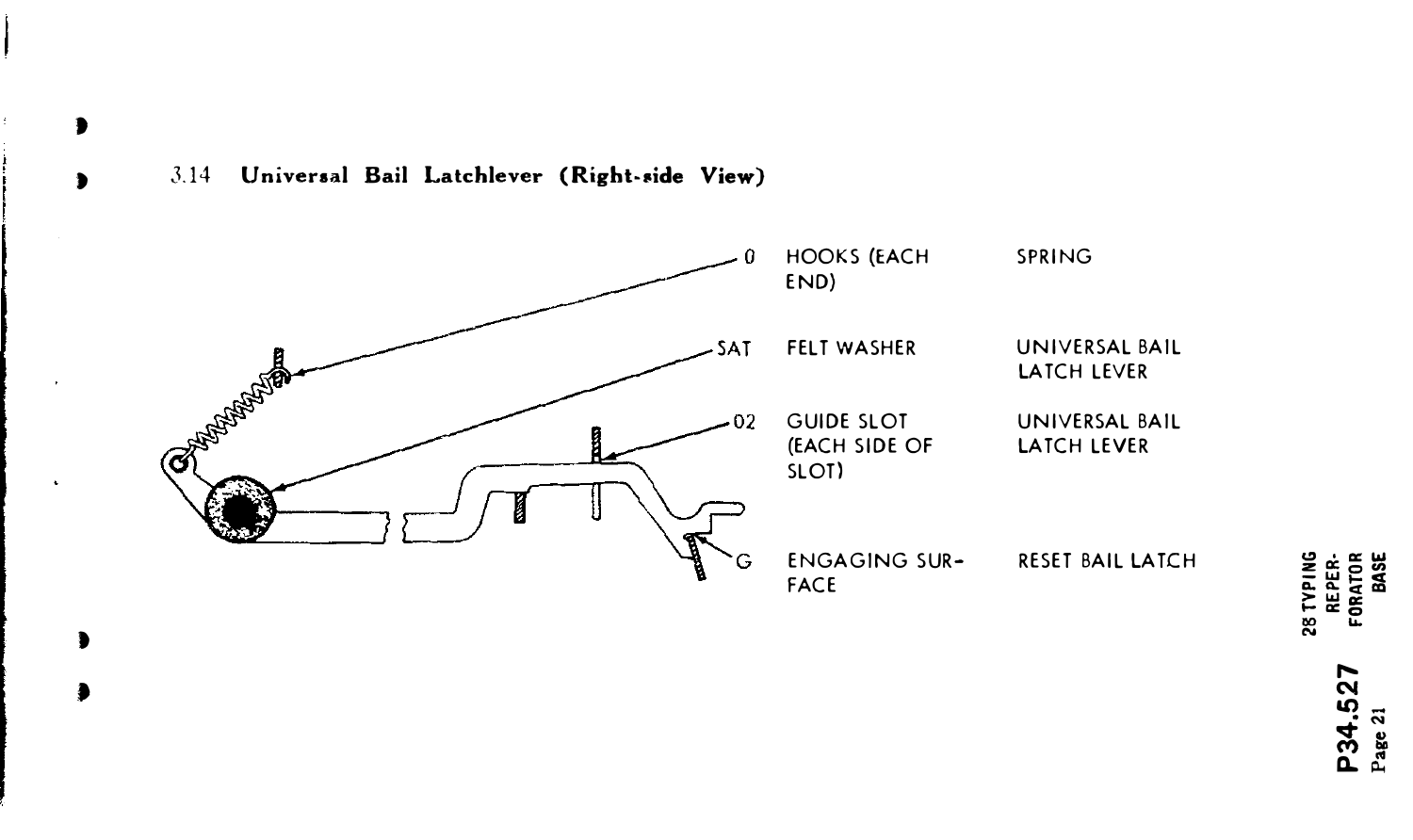

 $\bullet$ 

 $\blacksquare$ 



**28 TYPING<br>REPER-<br>FORATOR**<br>BASE P34.527<br>Page 21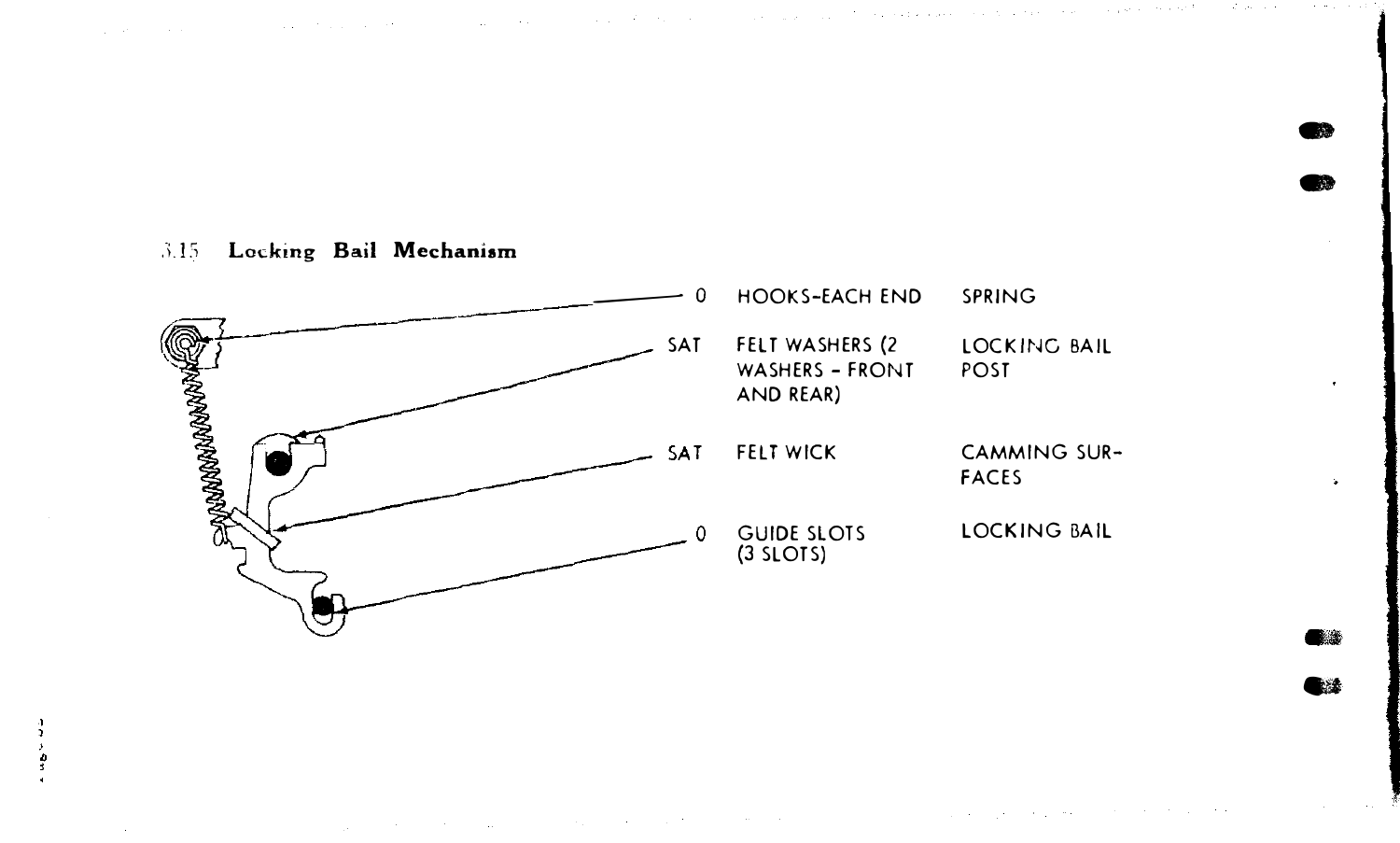#### Locking Bail Mechanism  $3.15$

 $\frac{3}{2}$  $\frac{9}{3}$ 



œ

 $\blacksquare$ ●法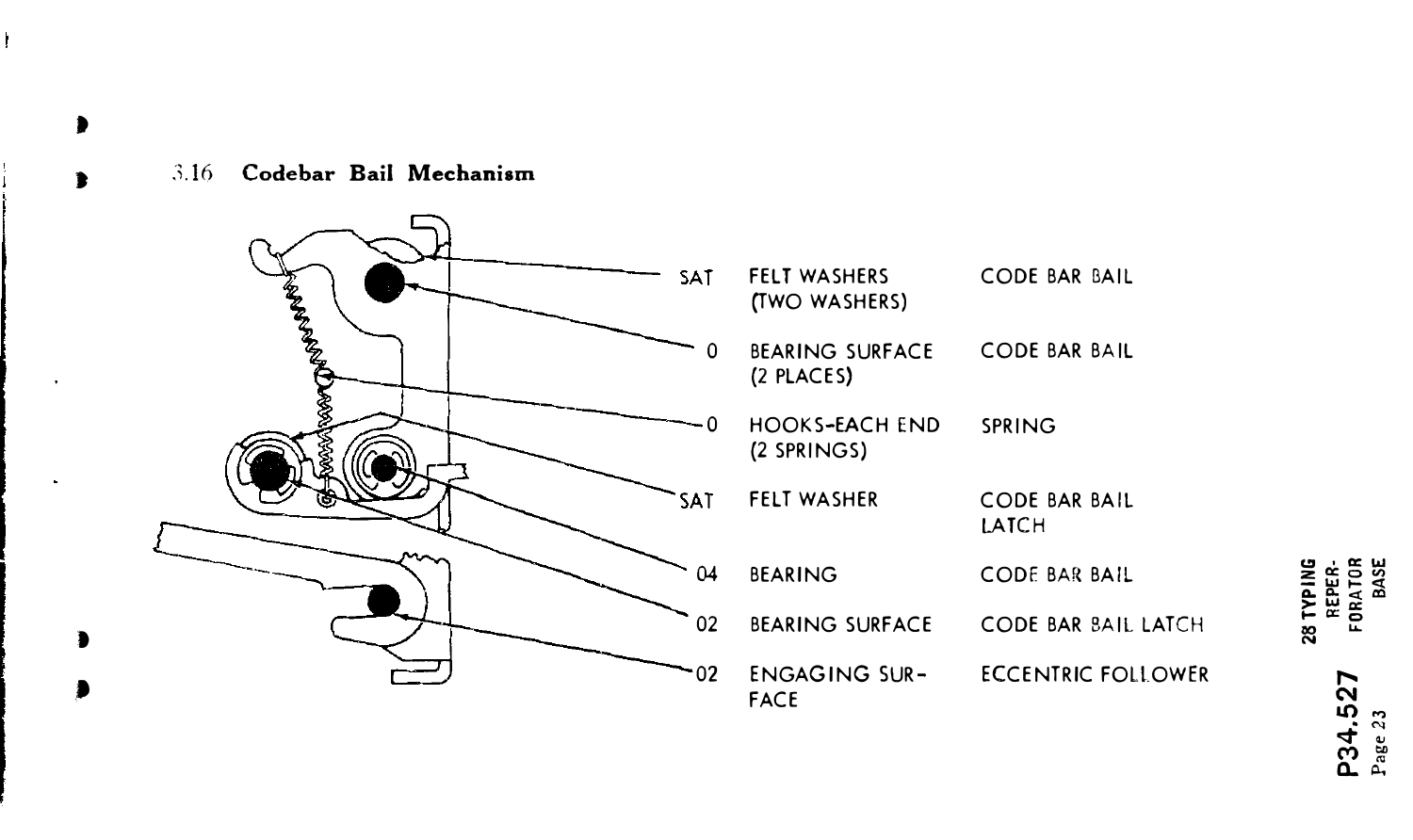$3.16$ Codebar Bail Mechanism



28 TYPING P34.527<br>Page 23

REPER-<br>FORATOR<br>BASE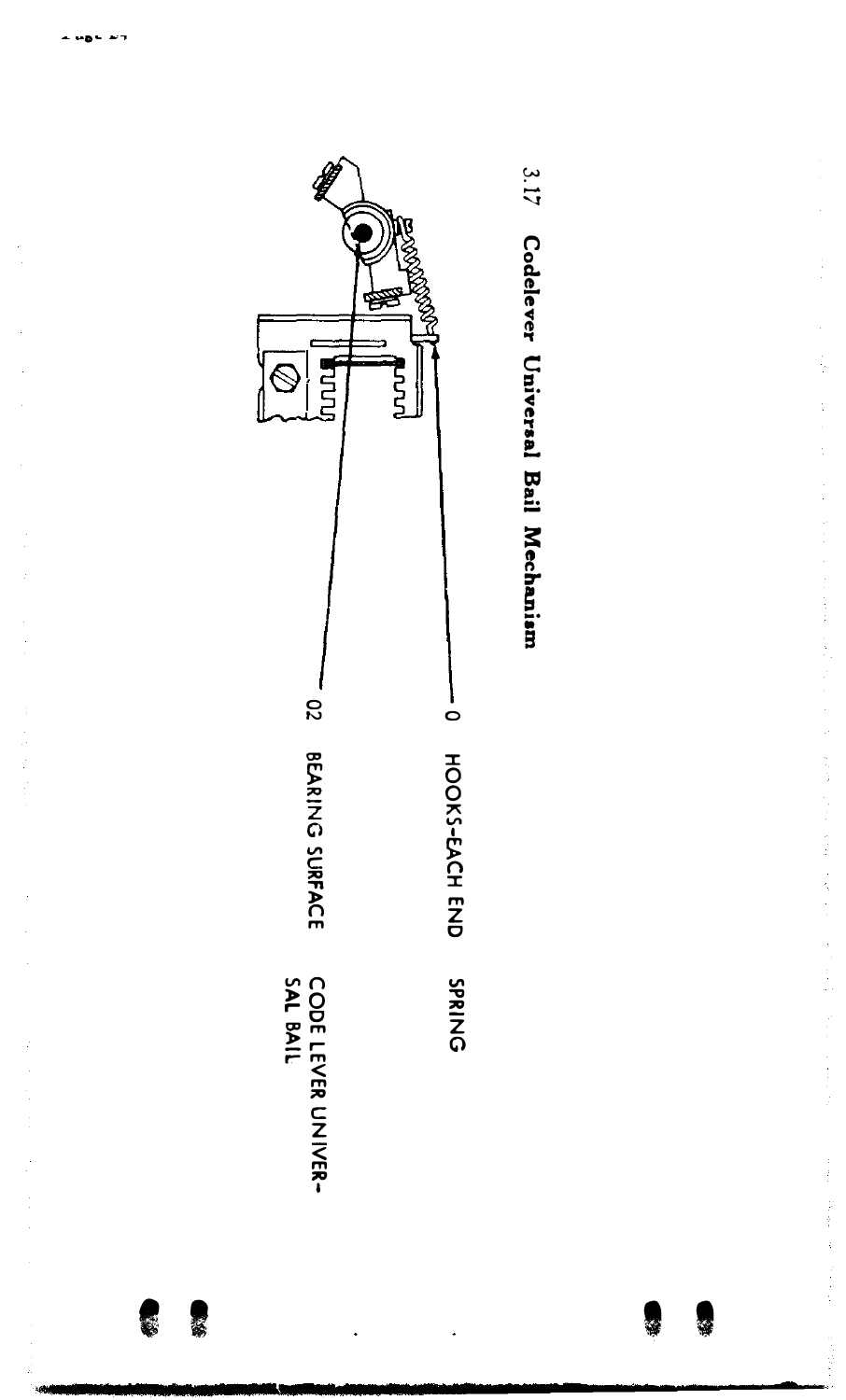

累赘





化二硫酸盐 化二硫酸盐 医血管切除术 化二硫化二酸盐 医阿尔伯氏征 医血管下垂 医血管下垂 计分类 医前列腺 医前列腺 医血管中枢 医前列腺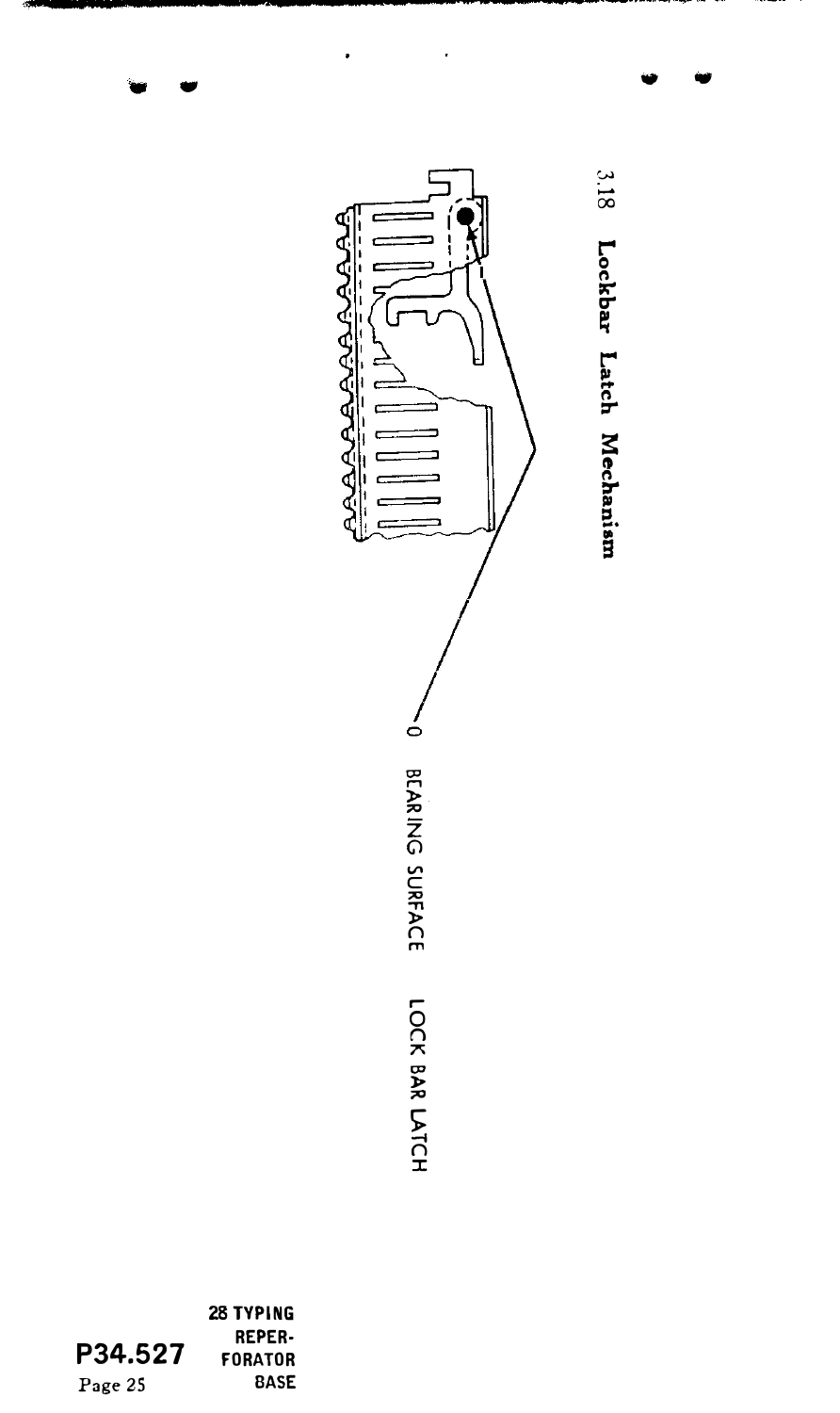

|         | <b>28 TYPING</b> |
|---------|------------------|
|         | <b>REPER-</b>    |
| P34.527 | <b>FORATOR</b>   |
| Page 25 | <b>BASE</b>      |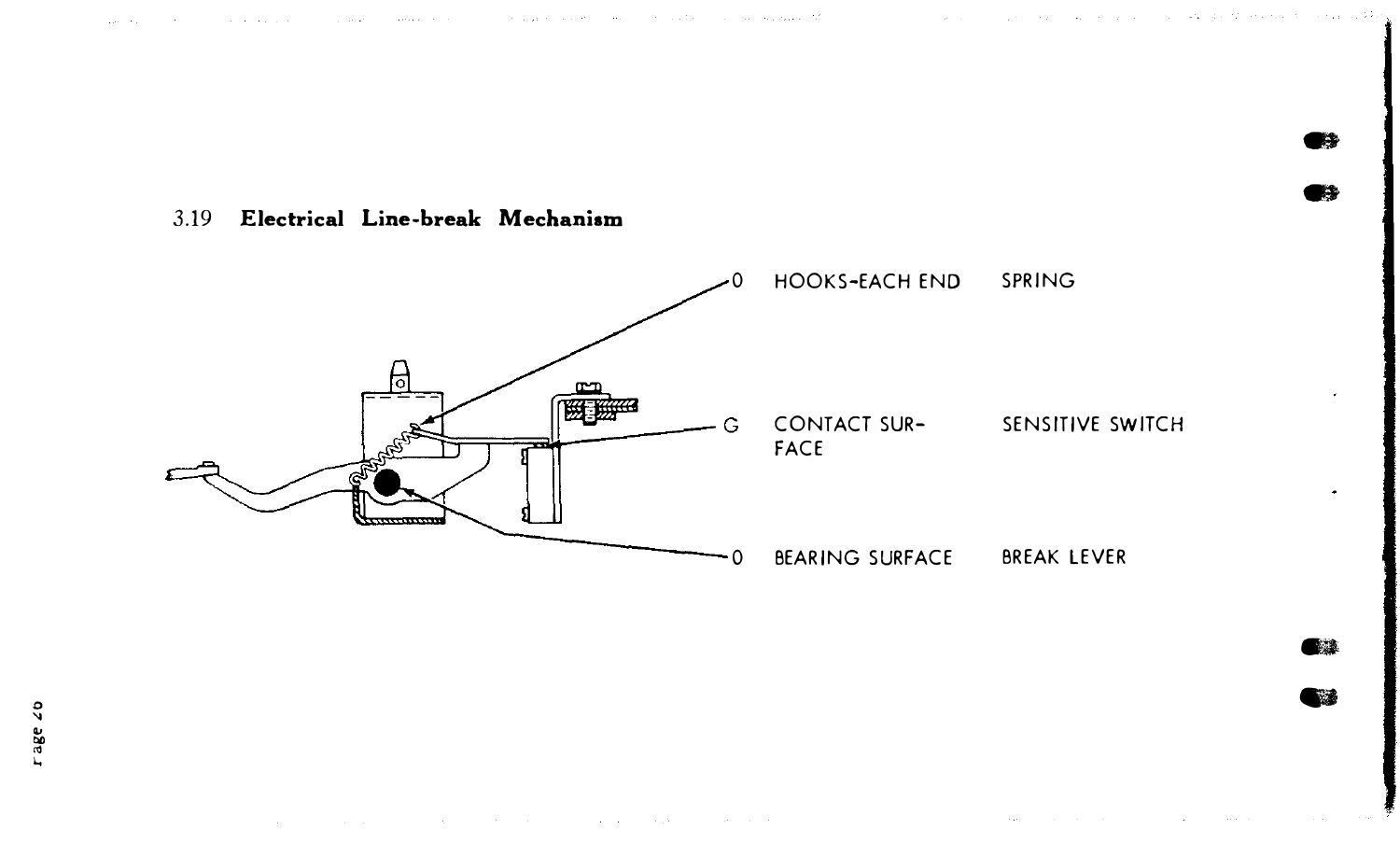### 3.19 Electrical Line-break Mechanism



which is a substitute of the second service in the service of the service of the service of the service of the service of the service of the service of the service of the service of the service of the service of the servic

 $\bullet$  $\bullet$ 

 $\bullet$  $\frac{1}{2}$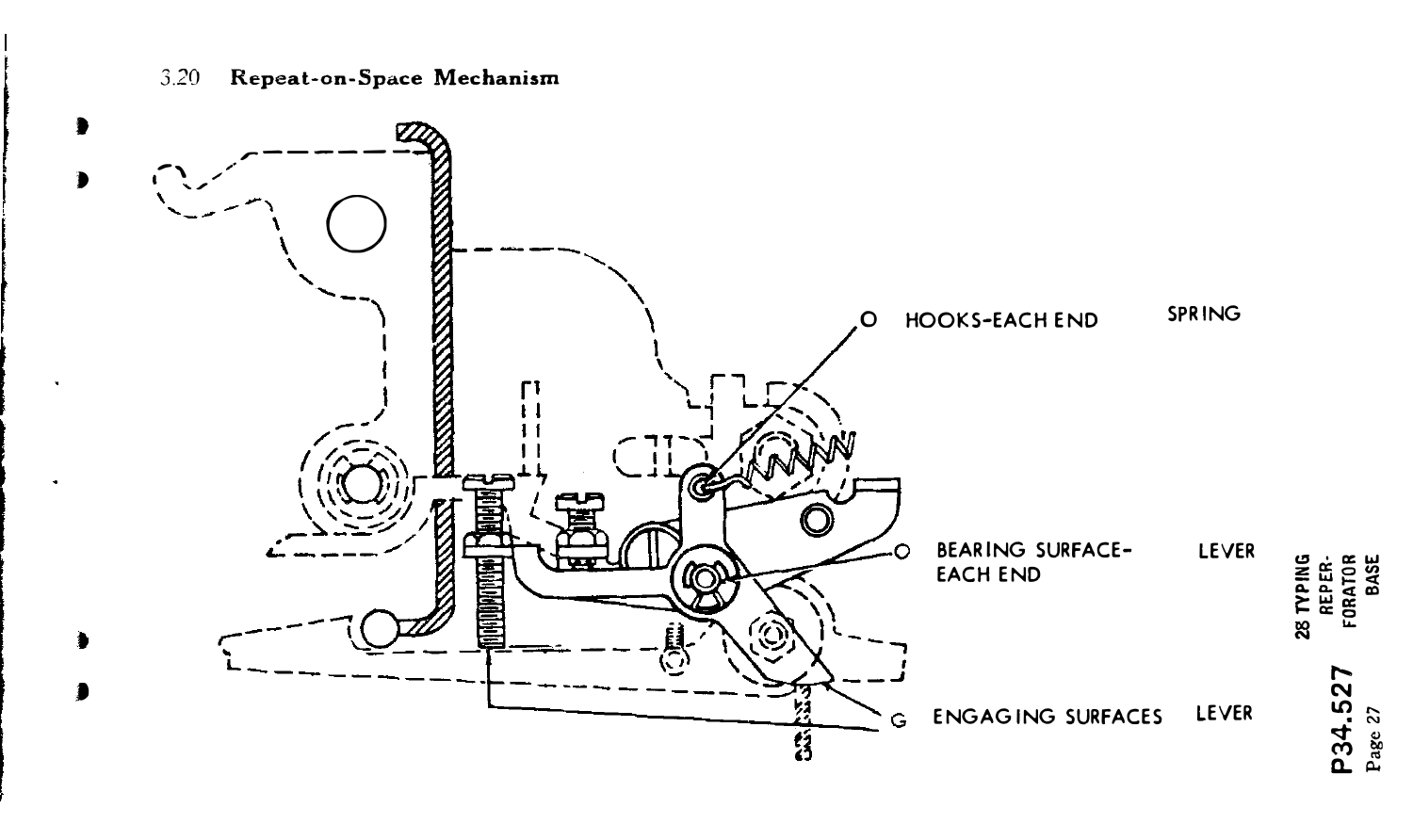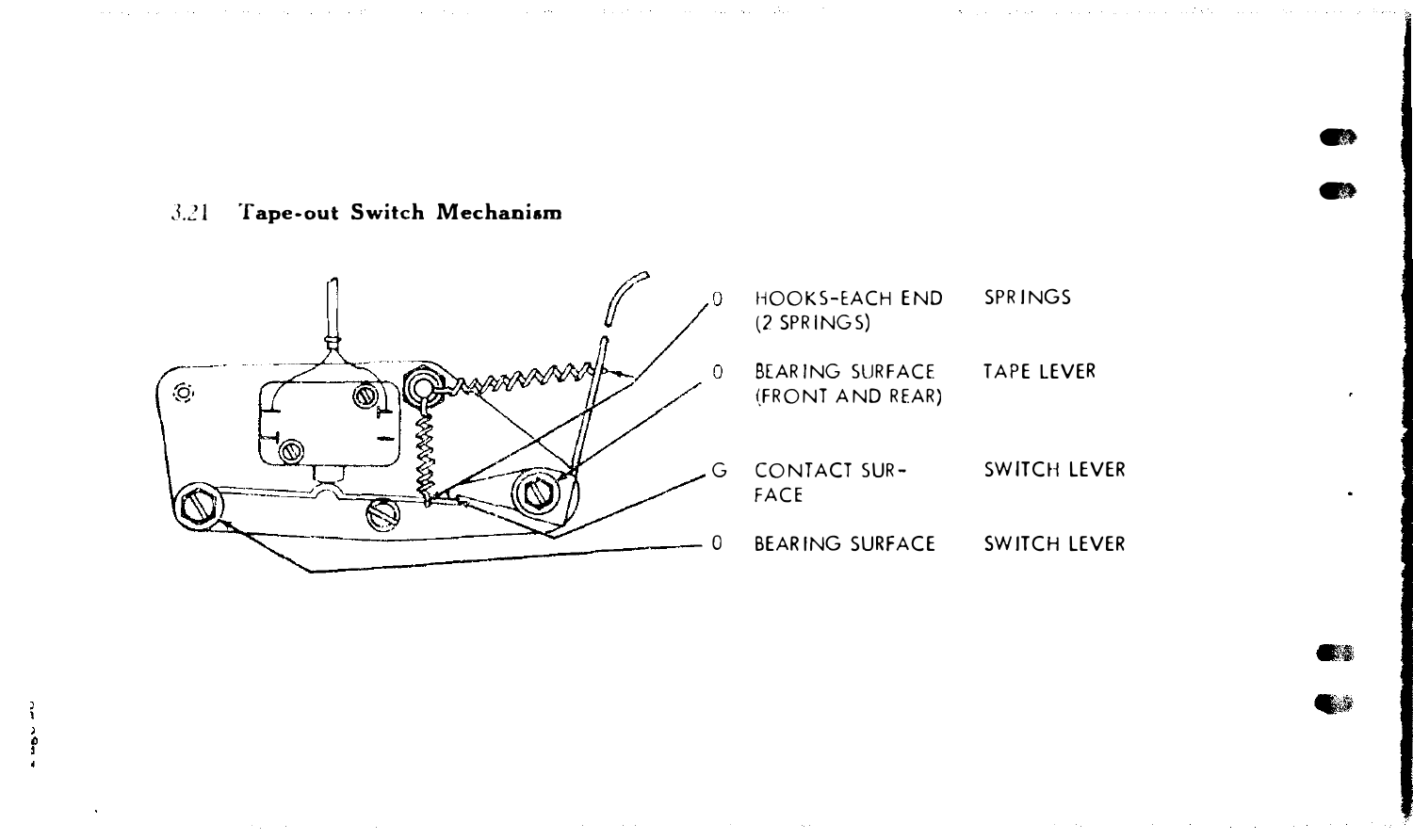$\bullet$  $\bullet$ 

 $\ddot{\phantom{0}}$ 

3.21 Tape-out Switch Mechanism



the control of the control of the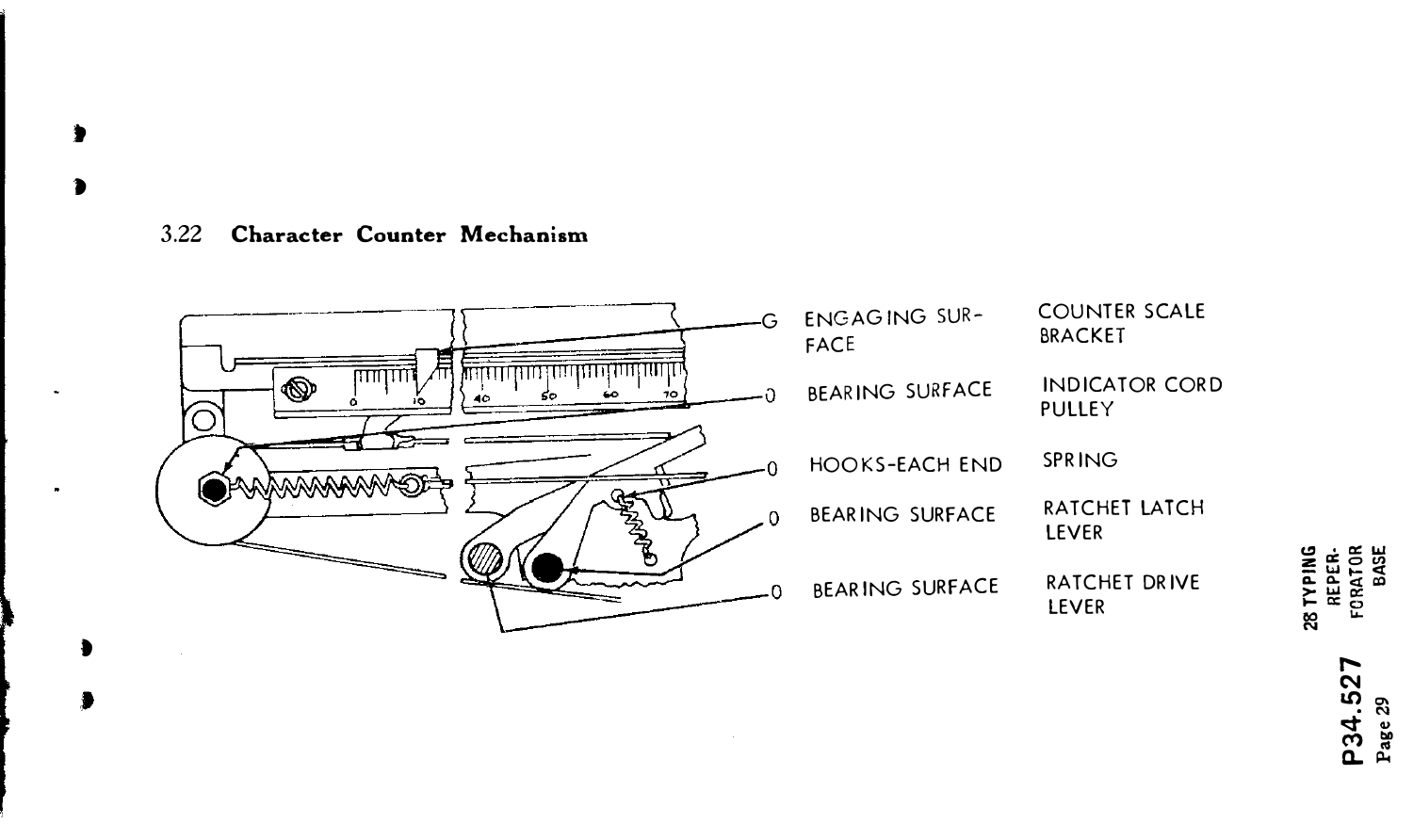#### Character Counter Mechanism  $3.22$

d



**28 TYPING<br>REPER-<br>FORATOR**<br>BASE P34.527<br>Page 29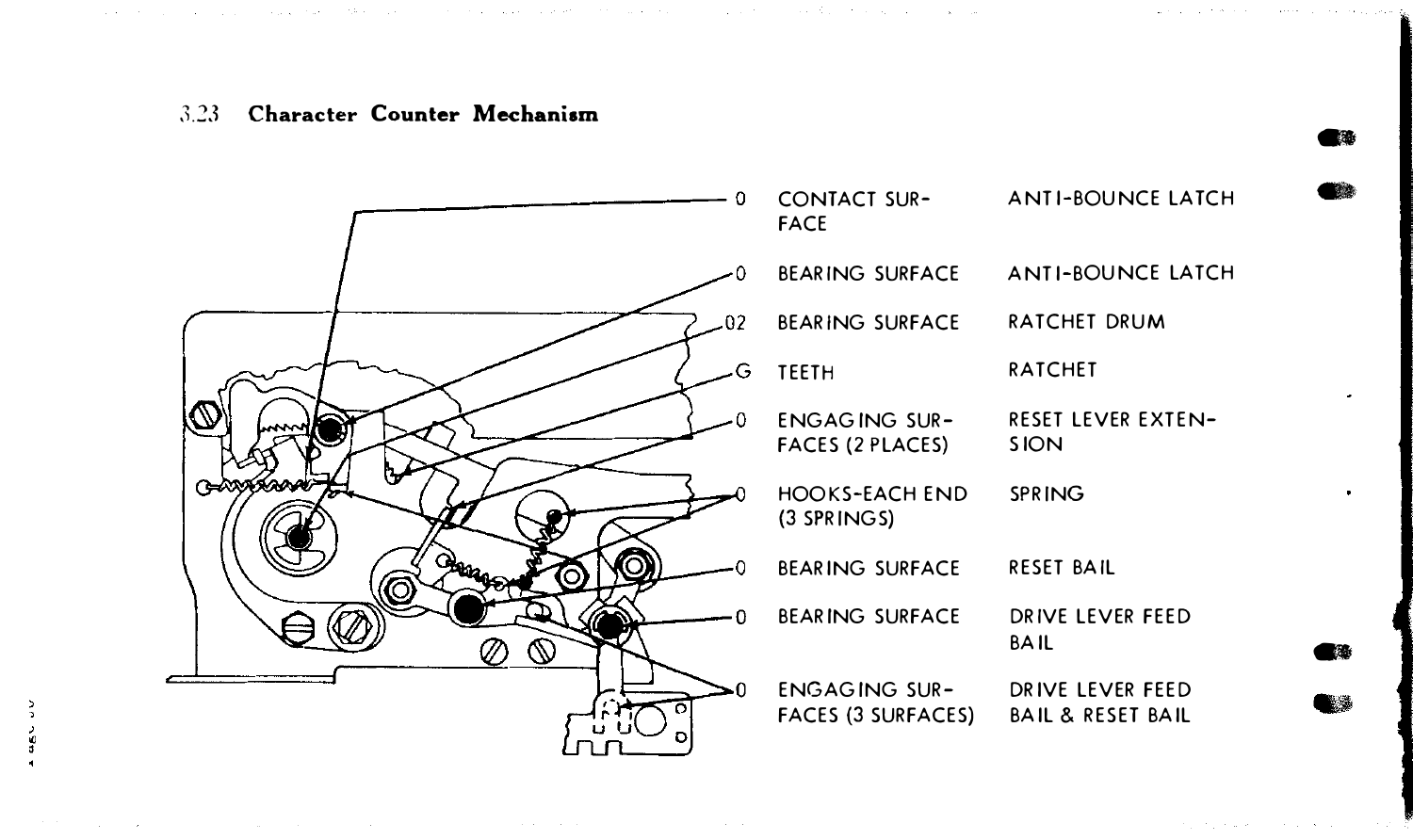#### 3.23 Character Counter Mechanism

and the second company of the second control of the second control of the second control of the second company of the second control of the second control of the second control of the second control of the second control o

the contract of the contract of the contract of the contract of the contract of the contract of the



-

The computation of the computation of the computation

 $\bullet$ 

-

**OBST** 

š

The Common State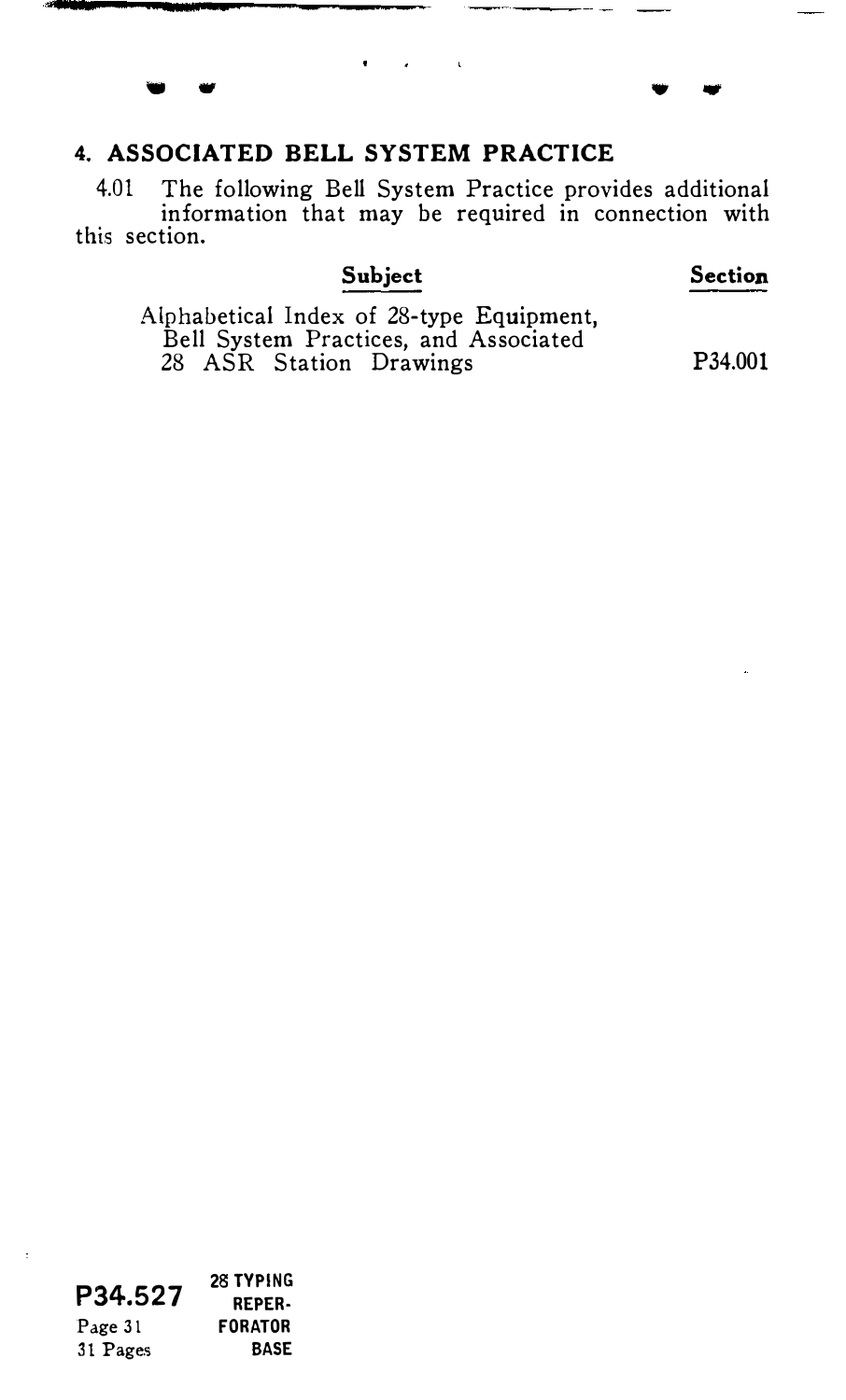## 4. ASSOCIATED BELL SYSTEM PRACTICE

 $\bullet$  $\sim 10$ 

-..

4.01 The following Bell System Practice provides additional information that may be required in connection with this section.

 $\sim$ 

### Subject

Section

 $\ddot{\,}$  .

Alphabetical Index of 28-type Equipment, Bell System Practices, and Associated 28 ASR Station Drawings P34.001

|          | <b>28 TYPING</b> |
|----------|------------------|
| P34.527  | <b>REPER-</b>    |
| Page 31  | <b>FORATOR</b>   |
| 31 Pages | <b>BASE</b>      |

 $\ddot{\phantom{a}}$